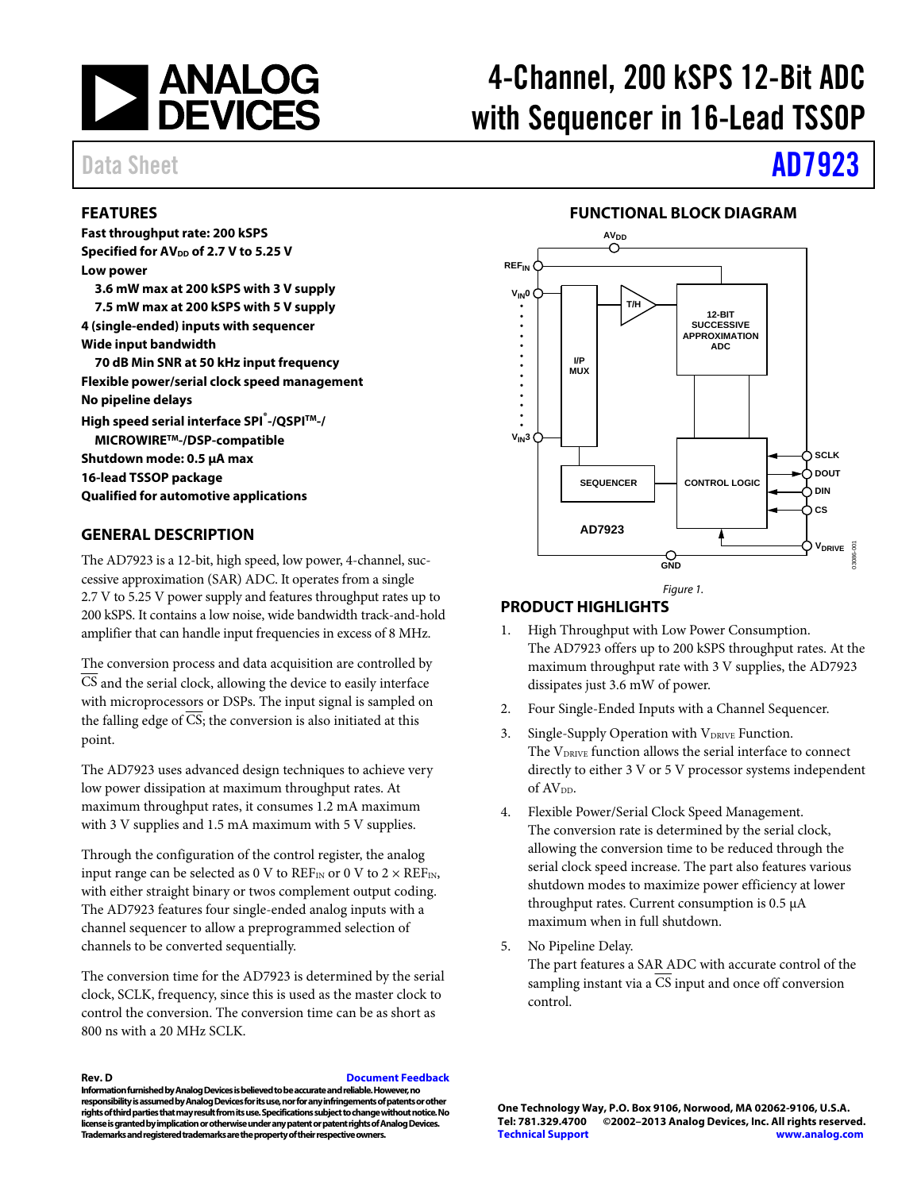

# 4-Channel, 200 kSPS 12-Bit ADC with Sequencer in 16-Lead TSSOP

#### **FEATURES**

**Fast throughput rate: 200 kSPS Specified for AV<sub>DD</sub> of 2.7 V to 5.25 V Low power 3.6 mW max at 200 kSPS with 3 V supply 7.5 mW max at 200 kSPS with 5 V supply 4 (single-ended) inputs with sequencer Wide input bandwidth 70 dB Min SNR at 50 kHz input frequency Flexible power/serial clock speed management No pipeline delays High speed serial interface SPI® -/QSPITM-/ MICROWIRETM-/DSP-compatible** 

**Shutdown mode: 0.5 μA max 16-lead TSSOP package Qualified for automotive applications** 

#### **GENERAL DESCRIPTION**

The AD7923 is a 12-bit, high speed, low power, 4-channel, successive approximation (SAR) ADC. It operates from a single 2.7 V to 5.25 V power supply and features throughput rates up to 200 kSPS. It contains a low noise, wide bandwidth track-and-hold amplifier that can handle input frequencies in excess of 8 MHz.

The conversion process and data acquisition are controlled by CS and the serial clock, allowing the device to easily interface with microprocessors or DSPs. The input signal is sampled on the falling edge of  $\overline{CS}$ ; the conversion is also initiated at this point.

The AD7923 uses advanced design techniques to achieve very low power dissipation at maximum throughput rates. At maximum throughput rates, it consumes 1.2 mA maximum with 3 V supplies and 1.5 mA maximum with 5 V supplies.

Through the configuration of the control register, the analog input range can be selected as 0 V to  $REF_{IN}$  or 0 V to 2  $\times$  REF<sub>IN</sub>, with either straight binary or twos complement output coding. The AD7923 features four single-ended analog inputs with a channel sequencer to allow a preprogrammed selection of channels to be converted sequentially.

The conversion time for the AD7923 is determined by the serial clock, SCLK, frequency, since this is used as the master clock to control the conversion. The conversion time can be as short as 800 ns with a 20 MHz SCLK.

**Rev. D [Document Feedback](https://form.analog.com/Form_Pages/feedback/documentfeedback.aspx?doc=AD7923.pdf&product=AD7923&rev=D)** 

**Information furnished by Analog Devices is believed to be accurate and reliable. However, no responsibility is assumed by Analog Devices for its use, nor for any infringements of patents or other rights of third parties that may result from its use. Specifications subject to change without notice. No license is granted by implication or otherwise under any patent or patent rights of Analog Devices. Trademarks and registered trademarks are the property of their respective owners.** 

# Data Sheet **[AD7923](http://www.analog.com/AD7923?doc=AD7923.pdf)**

#### **FUNCTIONAL BLOCK DIAGRAM**



### **PRODUCT HIGHLIGHTS**

- 1. High Throughput with Low Power Consumption. The AD7923 offers up to 200 kSPS throughput rates. At the maximum throughput rate with 3 V supplies, the AD7923 dissipates just 3.6 mW of power.
- 2. Four Single-Ended Inputs with a Channel Sequencer.
- 3. Single-Supply Operation with  $V_{DRIVE}$  Function. The V<sub>DRIVE</sub> function allows the serial interface to connect directly to either 3 V or 5 V processor systems independent of  $AV_{DD}$ .
- 4. Flexible Power/Serial Clock Speed Management. The conversion rate is determined by the serial clock, allowing the conversion time to be reduced through the serial clock speed increase. The part also features various shutdown modes to maximize power efficiency at lower throughput rates. Current consumption is 0.5 μA maximum when in full shutdown.
- 5. No Pipeline Delay.

The part features a SAR ADC with accurate control of the sampling instant via a CS input and once off conversion control.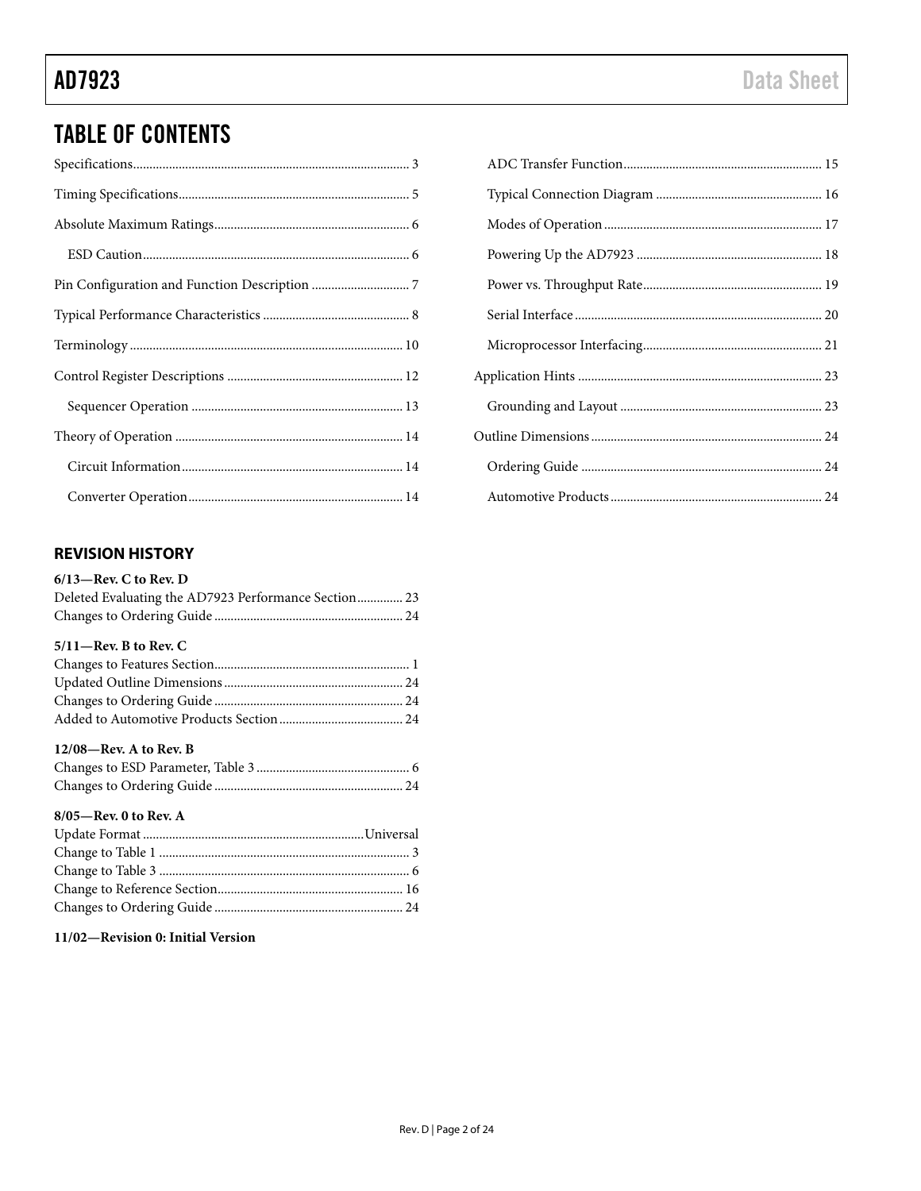## **TABLE OF CONTENTS**

### **REVISION HISTORY**

| $6/13$ —Rev. C to Rev. D                             |
|------------------------------------------------------|
| Deleted Evaluating the AD7923 Performance Section 23 |
|                                                      |
| $5/11$ —Rev. B to Rev. C                             |
|                                                      |
|                                                      |
|                                                      |
|                                                      |
| $12/08$ —Rev. A to Rev. B                            |
|                                                      |
|                                                      |
| 8/05-Rev. 0 to Rev. A                                |
|                                                      |
|                                                      |
|                                                      |
|                                                      |
|                                                      |

### 11/02-Revision 0: Initial Version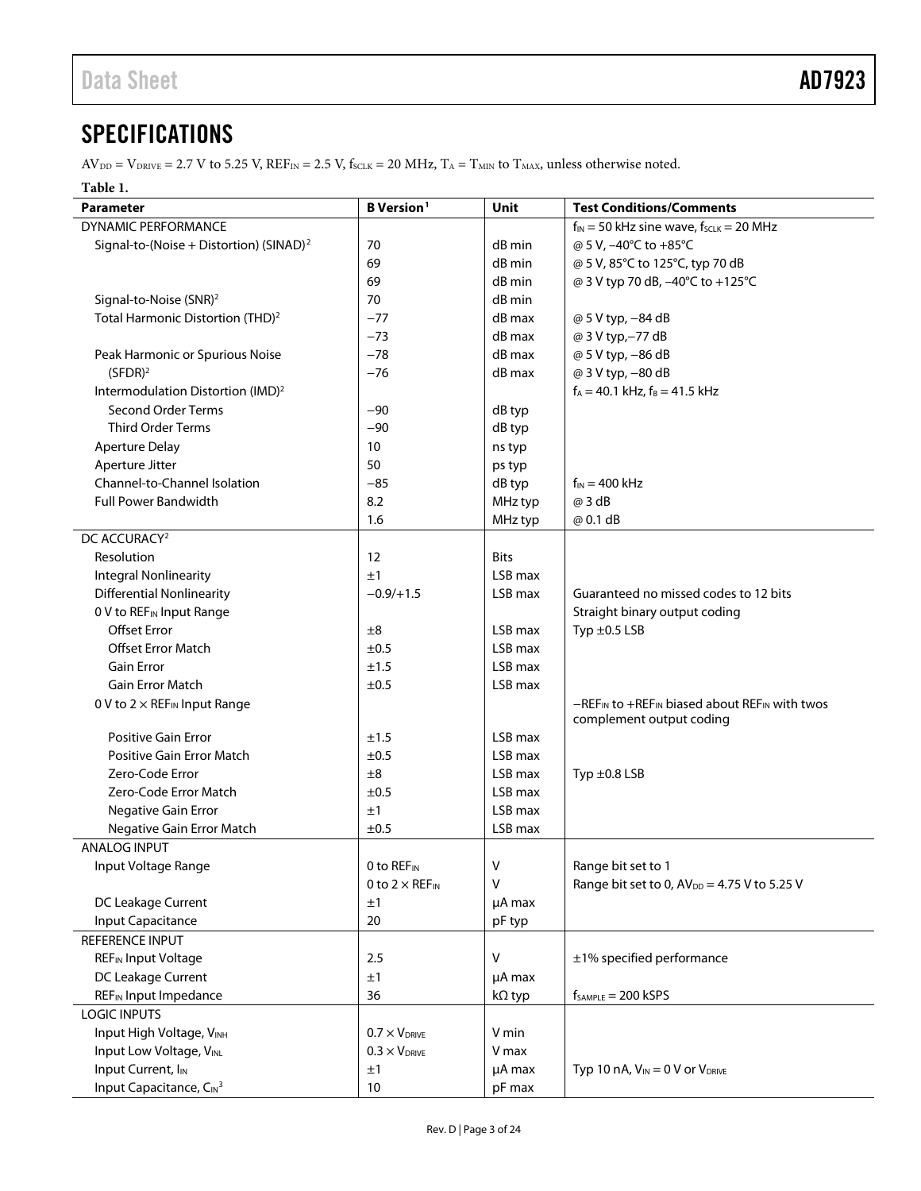## <span id="page-2-0"></span>SPECIFICATIONS

 $AV_{DD} = V_{DRIVE} = 2.7 V$  to 5.25 V,  $REF_{IN} = 2.5 V$ ,  $f_{SCLK} = 20 MHz$ ,  $T_A = T_{MIN}$  to  $T_{MAX}$ , unless otherwise noted.

#### **Table 1.**

| <b>Parameter</b>                                    | <b>B</b> Version <sup>1</sup>     | Unit          | <b>Test Conditions/Comments</b>                                                          |
|-----------------------------------------------------|-----------------------------------|---------------|------------------------------------------------------------------------------------------|
| DYNAMIC PERFORMANCE                                 |                                   |               | $f_{IN}$ = 50 kHz sine wave, $f_{SCLK}$ = 20 MHz                                         |
| Signal-to-(Noise + Distortion) (SINAD) <sup>2</sup> | 70                                | dB min        | @ 5 V, -40°C to +85°C                                                                    |
|                                                     | 69                                | dB min        | @ 5 V, 85°C to 125°C, typ 70 dB                                                          |
|                                                     | 69                                | dB min        | @ 3 V typ 70 dB, -40°C to +125°C                                                         |
| Signal-to-Noise (SNR) <sup>2</sup>                  | 70                                | dB min        |                                                                                          |
| Total Harmonic Distortion (THD) <sup>2</sup>        | $-77$                             | dB max        | @ 5 V typ, -84 dB                                                                        |
|                                                     | $-73$                             | dB max        | @ 3 V typ,-77 dB                                                                         |
| Peak Harmonic or Spurious Noise                     | $-78$                             | $dB$ max      | @ 5 V typ, -86 dB                                                                        |
| $(SFDR)^2$                                          | $-76$                             | dB max        | @ 3 V typ, -80 dB                                                                        |
| Intermodulation Distortion (IMD) <sup>2</sup>       |                                   |               | $f_A = 40.1$ kHz, $f_B = 41.5$ kHz                                                       |
| Second Order Terms                                  | $-90$                             | dB typ        |                                                                                          |
| <b>Third Order Terms</b>                            | $-90$                             | dB typ        |                                                                                          |
| <b>Aperture Delay</b>                               | 10                                | ns typ        |                                                                                          |
| Aperture Jitter                                     | 50                                | ps typ        |                                                                                          |
| Channel-to-Channel Isolation                        | $-85$                             | dB typ        | $f_{IN} = 400$ kHz                                                                       |
| <b>Full Power Bandwidth</b>                         | 8.2                               | MHz typ       | @ 3 dB                                                                                   |
|                                                     | 1.6                               | MHz typ       | @ 0.1 dB                                                                                 |
| DC ACCURACY <sup>2</sup>                            |                                   |               |                                                                                          |
| Resolution                                          | 12                                | <b>Bits</b>   |                                                                                          |
| <b>Integral Nonlinearity</b>                        | ±1                                | LSB max       |                                                                                          |
| <b>Differential Nonlinearity</b>                    | $-0.9/+1.5$                       | LSB max       | Guaranteed no missed codes to 12 bits                                                    |
| 0 V to REF <sub>IN</sub> Input Range                |                                   |               | Straight binary output coding                                                            |
| <b>Offset Error</b>                                 | ±8                                | LSB max       | Typ $\pm 0.5$ LSB                                                                        |
| <b>Offset Error Match</b>                           | $\pm 0.5$                         | LSB max       |                                                                                          |
| <b>Gain Error</b>                                   | ±1.5                              | LSB max       |                                                                                          |
| <b>Gain Error Match</b>                             | ±0.5                              | LSB max       |                                                                                          |
| 0 V to $2 \times$ REF <sub>IN</sub> Input Range     |                                   |               | $-REF_{IN}$ to $+REF_{IN}$ biased about $REF_{IN}$ with twos<br>complement output coding |
| <b>Positive Gain Error</b>                          | ±1.5                              | LSB max       |                                                                                          |
| <b>Positive Gain Error Match</b>                    | ±0.5                              | LSB max       |                                                                                          |
| Zero-Code Error                                     | ±8                                | LSB max       | Typ $\pm$ 0.8 LSB                                                                        |
| Zero-Code Error Match                               | ±0.5                              | LSB max       |                                                                                          |
| Negative Gain Error                                 | ±1                                | LSB max       |                                                                                          |
| Negative Gain Error Match                           | ±0.5                              | LSB max       |                                                                                          |
| <b>ANALOG INPUT</b>                                 |                                   |               |                                                                                          |
| Input Voltage Range                                 | 0 to $REF_{IN}$                   | V             | Range bit set to 1                                                                       |
|                                                     | 0 to $2 \times$ REF <sub>IN</sub> | $\vee$        | Range bit set to 0, AV <sub>DD</sub> = 4.75 V to 5.25 V                                  |
| DC Leakage Current                                  | ±1                                | µA max        |                                                                                          |
| Input Capacitance                                   | 20                                | pF typ        |                                                                                          |
| REFERENCE INPUT                                     |                                   |               |                                                                                          |
| REF <sub>IN</sub> Input Voltage                     | 2.5                               | V             | ±1% specified performance                                                                |
| DC Leakage Current                                  | ±1                                | µA max        |                                                                                          |
| <b>REFIN Input Impedance</b>                        | 36                                | $k\Omega$ typ | $f_{SAMPLE} = 200$ kSPS                                                                  |
| <b>LOGIC INPUTS</b>                                 |                                   |               |                                                                                          |
| Input High Voltage, VINH                            | $0.7 \times V_{DRIVE}$            | V min         |                                                                                          |
| Input Low Voltage, VINL                             | $0.3 \times V_{DRIVE}$            | V max         |                                                                                          |
| Input Current, I <sub>IN</sub>                      | ±1                                | µA max        | Typ 10 nA, $V_{IN} = 0$ V or $V_{DRIVE}$                                                 |
| Input Capacitance, CIN <sup>3</sup>                 | 10                                | pF max        |                                                                                          |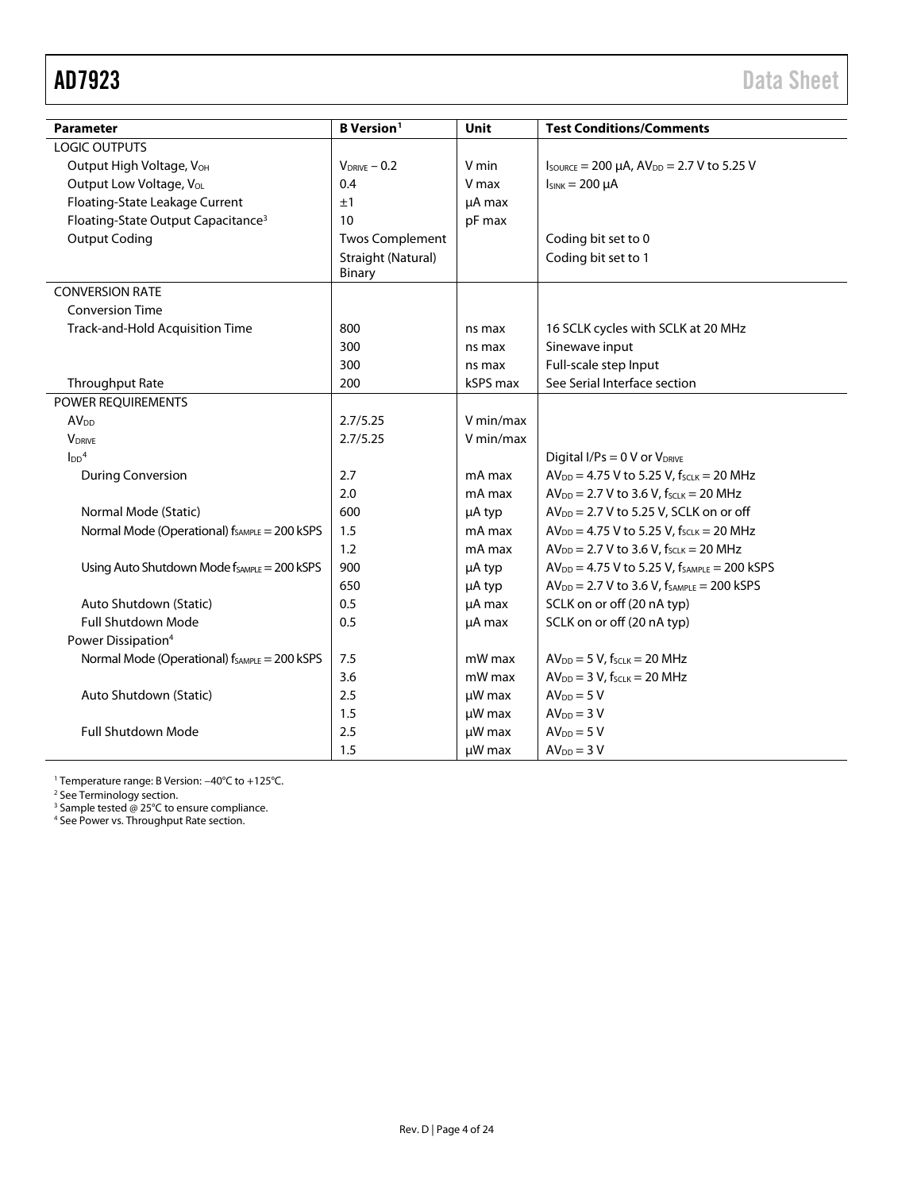<span id="page-3-0"></span>

| <b>Parameter</b>                                         | <b>B</b> Version <sup>1</sup> | <b>Unit</b> | <b>Test Conditions/Comments</b>                                                    |
|----------------------------------------------------------|-------------------------------|-------------|------------------------------------------------------------------------------------|
| <b>LOGIC OUTPUTS</b>                                     |                               |             |                                                                                    |
| Output High Voltage, VOH                                 | $V_{DRIVE} - 0.2$             | V min       | $I_{\text{SOWRCE}} = 200 \mu\text{A}$ , $AV_{\text{DD}} = 2.7 \text{ V}$ to 5.25 V |
| Output Low Voltage, VoL                                  | 0.4                           | V max       | $I_{SINK} = 200 \mu A$                                                             |
| Floating-State Leakage Current                           | ±1                            | µA max      |                                                                                    |
| Floating-State Output Capacitance <sup>3</sup>           | 10                            | pF max      |                                                                                    |
| <b>Output Coding</b>                                     | <b>Twos Complement</b>        |             | Coding bit set to 0                                                                |
|                                                          | Straight (Natural)            |             | Coding bit set to 1                                                                |
|                                                          | <b>Binary</b>                 |             |                                                                                    |
| <b>CONVERSION RATE</b>                                   |                               |             |                                                                                    |
| <b>Conversion Time</b>                                   |                               |             |                                                                                    |
| Track-and-Hold Acquisition Time                          | 800                           | ns max      | 16 SCLK cycles with SCLK at 20 MHz                                                 |
|                                                          | 300                           | ns max      | Sinewave input                                                                     |
|                                                          | 300                           | ns max      | Full-scale step Input                                                              |
| Throughput Rate                                          | 200                           | kSPS max    | See Serial Interface section                                                       |
| POWER REQUIREMENTS                                       |                               |             |                                                                                    |
| AV <sub>DD</sub>                                         | 2.7/5.25                      | V min/max   |                                                                                    |
| <b>V</b> DRIVE                                           | 2.7/5.25                      | V min/max   |                                                                                    |
| $\text{LDD}^4$                                           |                               |             | Digital I/Ps = 0 V or V <sub>DRIVE</sub>                                           |
| <b>During Conversion</b>                                 | 2.7                           | mA max      | $AV_{DD} = 4.75 V$ to 5.25 V, $f_{SCLK} = 20 MHz$                                  |
|                                                          | 2.0                           | mA max      | $AV_{DD} = 2.7 V$ to 3.6 V, $f_{SCLK} = 20 MHz$                                    |
| Normal Mode (Static)                                     | 600                           | µA typ      | $AV_{DD} = 2.7 V$ to 5.25 V, SCLK on or off                                        |
| Normal Mode (Operational) f <sub>SAMPLE</sub> = 200 kSPS | 1.5                           | mA max      | $AV_{DD} = 4.75 V$ to 5.25 V, $f_{SCLK} = 20 MHz$                                  |
|                                                          | 1.2                           | mA max      | $AV_{DD} = 2.7 V$ to 3.6 V, $f_{SCLK} = 20 MHz$                                    |
| Using Auto Shutdown Mode fSAMPLE = 200 KSPS              | 900                           | µA typ      | $AV_{DD} = 4.75 V$ to 5.25 V, $f_{SAMPLE} = 200$ kSPS                              |
|                                                          | 650                           | µA typ      | $AV_{DD} = 2.7 V$ to 3.6 V, $f_{SAMPLE} = 200$ kSPS                                |
| Auto Shutdown (Static)                                   | 0.5                           | µA max      | SCLK on or off (20 nA typ)                                                         |
| Full Shutdown Mode                                       | 0.5                           | µA max      | SCLK on or off (20 nA typ)                                                         |
| Power Dissipation <sup>4</sup>                           |                               |             |                                                                                    |
| Normal Mode (Operational) f <sub>SAMPLE</sub> = 200 kSPS | 7.5                           | mW max      | $AV_{DD} = 5 V$ , f <sub>sclK</sub> = 20 MHz                                       |
|                                                          | 3.6                           | mW max      | $AV_{DD} = 3 V$ , f <sub>SCLK</sub> = 20 MHz                                       |
| Auto Shutdown (Static)                                   | 2.5                           | $\mu$ W max | $AVDD = 5 V$                                                                       |
|                                                          | 1.5                           | µW max      | $AVDD = 3 V$                                                                       |
| <b>Full Shutdown Mode</b>                                | 2.5                           | µW max      | $AV_{DD} = 5 V$                                                                    |
|                                                          | 1.5                           | µW max      | $AVDD = 3 V$                                                                       |

<sup>1</sup> Temperature range: B Version: −40°C to +125°C.

<sup>2</sup> Se[e Terminology](#page-9-0) section.

<sup>3</sup> Sample tested @ 25°C to ensure compliance.

<sup>4</sup> See Power vs. [Throughput Rate](#page-18-0) section.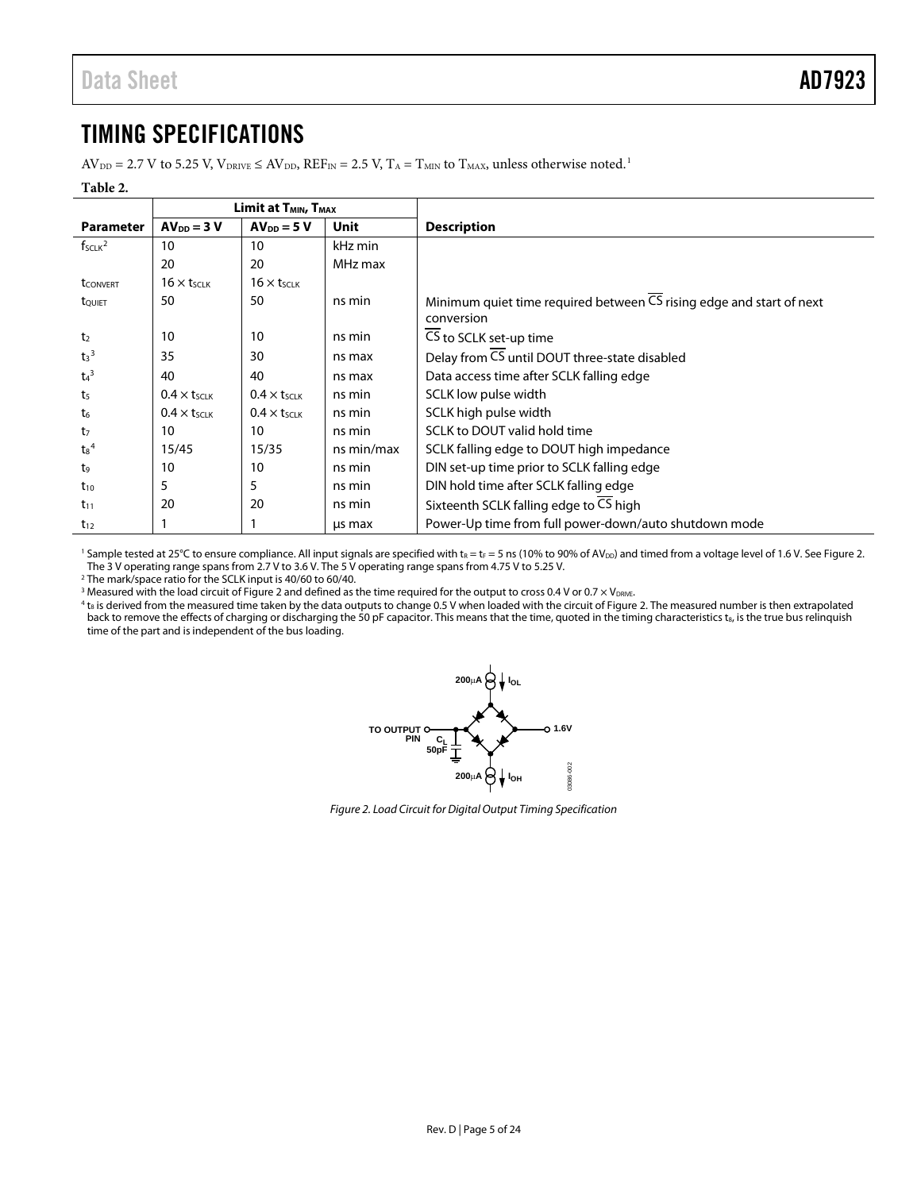## <span id="page-4-0"></span>TIMING SPECIFICATIONS

 $AV_{DD} = 2.7 V$  to 5.25 V,  $V_{DRIVE} \le AV_{DD}$ ,  $REF_{IN} = 2.5 V$ ,  $T_A = T_{MIN}$  to  $T_{MAX}$ , unless otherwise noted.<sup>1</sup>

#### **Table 2.**

|                             | Limit at T <sub>MIN</sub> , T <sub>MAX</sub> |                                |            |                                                                                   |
|-----------------------------|----------------------------------------------|--------------------------------|------------|-----------------------------------------------------------------------------------|
| <b>Parameter</b>            | $AVDD = 3 V$                                 | $AV_{DD} = 5 V$                | Unit       | <b>Description</b>                                                                |
| $f_{SCLK}^2$                | 10                                           | 10                             | kHz min    |                                                                                   |
|                             | 20                                           | 20                             | MHz max    |                                                                                   |
| <b>t</b> <sub>CONVERT</sub> | $16 \times t_{SCLK}$                         | $16 \times t_{SCLK}$           |            |                                                                                   |
| tQUIET                      | 50                                           | 50                             | ns min     | Minimum quiet time required between $\overline{CS}$ rising edge and start of next |
|                             |                                              |                                |            | conversion                                                                        |
| t <sub>2</sub>              | 10                                           | 10                             | ns min     | CS to SCLK set-up time                                                            |
| $t_3^3$                     | 35                                           | 30                             | ns max     | Delay from CS until DOUT three-state disabled                                     |
| $t_4$ <sup>3</sup>          | 40                                           | 40                             | ns max     | Data access time after SCLK falling edge                                          |
| t <sub>5</sub>              | $0.4 \times t$ SCLK                          | $0.4 \times t$ <sub>SCLK</sub> | ns min     | SCLK low pulse width                                                              |
| $t_6$                       | $0.4 \times t$ <sub>SCLK</sub>               | $0.4 \times t$ SCLK            | ns min     | SCLK high pulse width                                                             |
| t <sub>7</sub>              | 10                                           | 10                             | ns min     | SCLK to DOUT valid hold time                                                      |
| $t_8{}^4$                   | 15/45                                        | 15/35                          | ns min/max | SCLK falling edge to DOUT high impedance                                          |
| t9                          | 10                                           | 10                             | ns min     | DIN set-up time prior to SCLK falling edge                                        |
| $t_{10}$                    | 5                                            | 5                              | ns min     | DIN hold time after SCLK falling edge                                             |
| $t_{11}$                    | 20                                           | 20                             | ns min     | Sixteenth SCLK falling edge to CS high                                            |
| $t_{12}$                    |                                              |                                | us max     | Power-Up time from full power-down/auto shutdown mode                             |

<sup>1</sup> Sample tested at 25°C to ensure compliance. All input signals are specified with  $t_R = t_F = 5$  ns (10% to 90% of AV<sub>DD</sub>) and timed from a voltage level of 1.6 V. See Figure 2. The 3 V operating range spans from 2.7 V to 3.6 V. The 5 V operating range spans from 4.75 V to 5.25 V.

<sup>2</sup> The mark/space ratio for the SCLK input is 40/60 to 60/40.

 $^3$  Measured with the load circuit o[f Figure 2](#page-4-1) and defined as the time required for the output to cross 0.4 V or 0.7  $\times$  V $_{\rm{DRVE}}$ .

<span id="page-4-1"></span> $^4$  t<sub>8</sub> is derived from the measured time taken by the data outputs to change 0.5 V when loaded with the circuit o[f Figure 2.](#page-4-1) The measured number is then extrapolated back to remove the effects of charging or discharging the 50 pF capacitor. This means that the time, quoted in the timing characteristics t<sub>8</sub>, is the true bus relinquish time of the part and is independent of the bus loading.



*Figure 2. Load Circuit for Digital Output Timing Specification*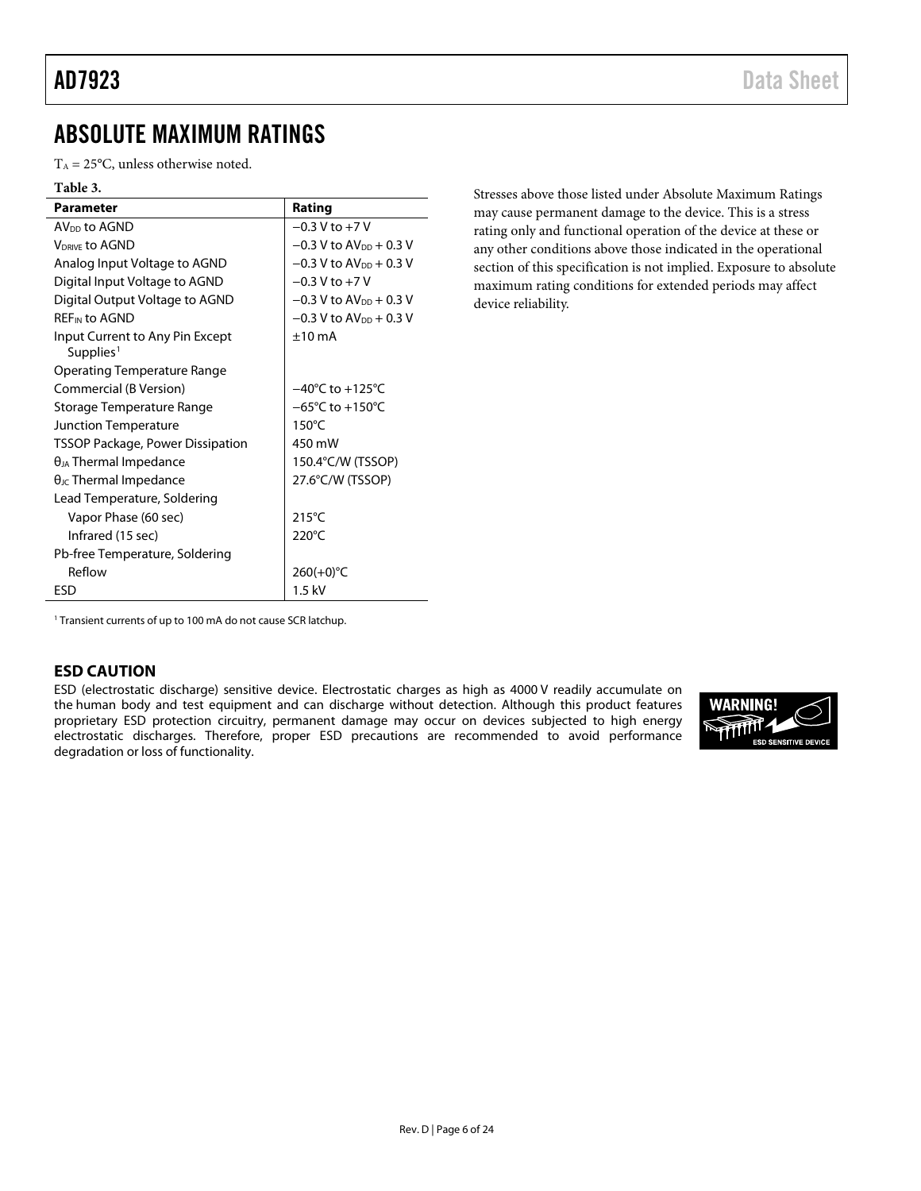## <span id="page-5-0"></span>ABSOLUTE MAXIMUM RATINGS

 $T_A = 25^{\circ}$ C, unless otherwise noted.

### **Table 3.**

| <b>Parameter</b>                                         | Rating                               |
|----------------------------------------------------------|--------------------------------------|
| AV <sub>DD</sub> to AGND                                 | $-0.3$ V to $+7$ V                   |
| <b>VDRIVE TO AGND</b>                                    | $-0.3$ V to AV <sub>pp</sub> + 0.3 V |
| Analog Input Voltage to AGND                             | $-0.3$ V to AV <sub>pp</sub> + 0.3 V |
| Digital Input Voltage to AGND                            | $-0.3$ V to $+7$ V                   |
| Digital Output Voltage to AGND                           | $-0.3$ V to AV <sub>pp</sub> + 0.3 V |
| <b>REF<sub>IN</sub></b> to AGND                          | $-0.3$ V to $AV_{DD}$ + 0.3 V        |
| Input Current to Any Pin Except<br>Supplies <sup>1</sup> | $+10 \text{ mA}$                     |
| Operating Temperature Range                              |                                      |
| <b>Commercial (B Version)</b>                            | $-40^{\circ}$ C to $+125^{\circ}$ C  |
| Storage Temperature Range                                | $-65^{\circ}$ C to $+150^{\circ}$ C  |
| Junction Temperature                                     | $150^{\circ}$ C                      |
| <b>TSSOP Package, Power Dissipation</b>                  | 450 mW                               |
| $\theta_{JA}$ Thermal Impedance                          | 150.4°C/W (TSSOP)                    |
| $\theta_{\text{JC}}$ Thermal Impedance                   | 27.6°C/W (TSSOP)                     |
| Lead Temperature, Soldering                              |                                      |
| Vapor Phase (60 sec)                                     | $215^{\circ}$ C                      |
| Infrared (15 sec)                                        | $220^{\circ}$ C                      |
| Pb-free Temperature, Soldering                           |                                      |
| Reflow                                                   | $260(+0)$ °C                         |
| ESD                                                      | $1.5$ kV                             |

Stresses above those listed under Absolute Maximum Ratings may cause permanent damage to the device. This is a stress rating only and functional operation of the device at these or any other conditions above those indicated in the operational section of this specification is not implied. Exposure to absolute maximum rating conditions for extended periods may affect device reliability.

<span id="page-5-2"></span><sup>1</sup> Transient currents of up to 100 mA do not cause SCR latchup.

#### <span id="page-5-1"></span>**ESD CAUTION**

ESD (electrostatic discharge) sensitive device. Electrostatic charges as high as 4000 V readily accumulate on the human body and test equipment and can discharge without detection. Although this product features proprietary ESD protection circuitry, permanent damage may occur on devices subjected to high energy electrostatic discharges. Therefore, proper ESD precautions are recommended to avoid performance degradation or loss of functionality.

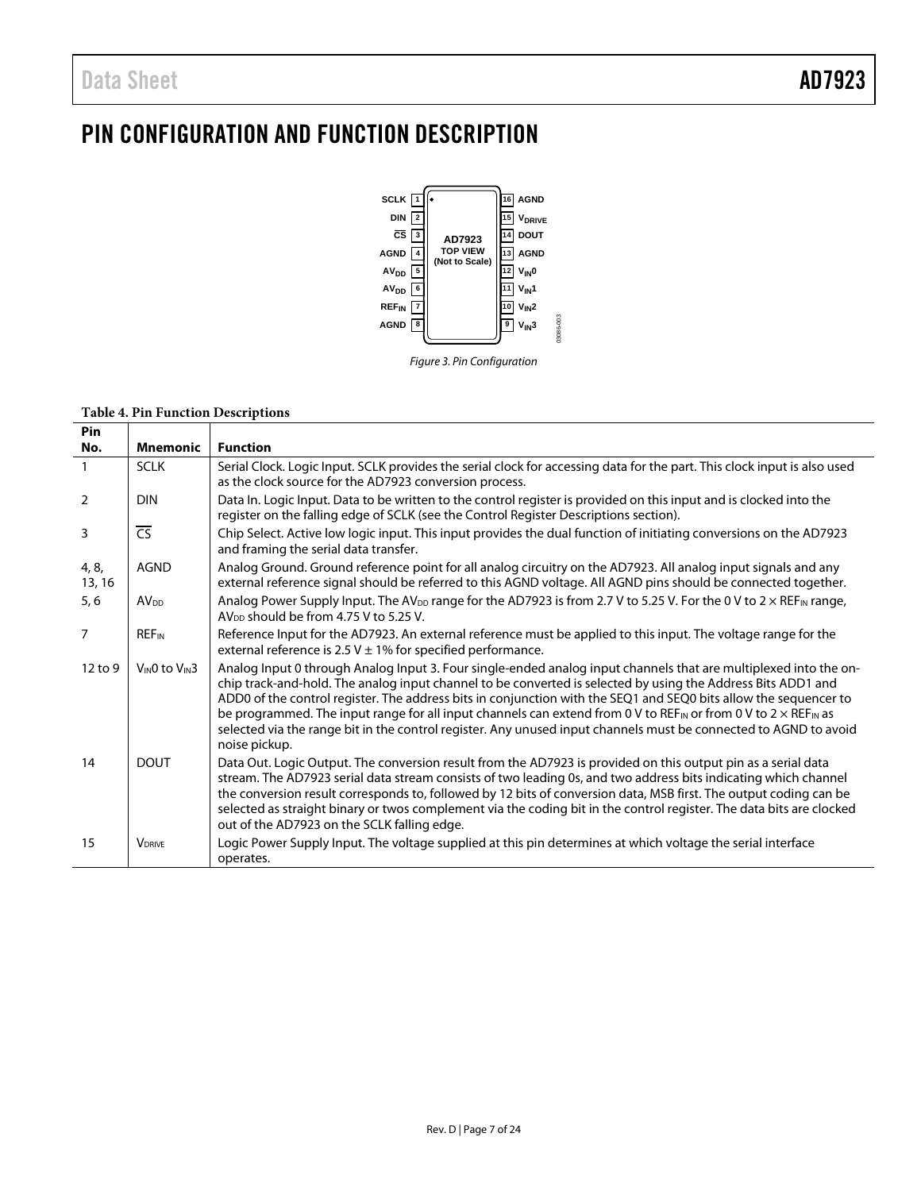## <span id="page-6-0"></span>PIN CONFIGURATION AND FUNCTION DESCRIPTION



#### *Figure 3. Pin Configuration*

### **Table 4. Pin Function Descriptions**

 $\overline{\phantom{a}}$ 

| <b>PIN</b>      |                           |                                                                                                                                                                                                                                                                                                                                                                                                                                                                                                                                                                                                                                            |
|-----------------|---------------------------|--------------------------------------------------------------------------------------------------------------------------------------------------------------------------------------------------------------------------------------------------------------------------------------------------------------------------------------------------------------------------------------------------------------------------------------------------------------------------------------------------------------------------------------------------------------------------------------------------------------------------------------------|
| No.             | <b>Mnemonic</b>           | <b>Function</b>                                                                                                                                                                                                                                                                                                                                                                                                                                                                                                                                                                                                                            |
| $\overline{1}$  | <b>SCLK</b>               | Serial Clock. Logic Input. SCLK provides the serial clock for accessing data for the part. This clock input is also used<br>as the clock source for the AD7923 conversion process.                                                                                                                                                                                                                                                                                                                                                                                                                                                         |
| $\overline{2}$  | <b>DIN</b>                | Data In. Logic Input. Data to be written to the control register is provided on this input and is clocked into the<br>register on the falling edge of SCLK (see the Control Register Descriptions section).                                                                                                                                                                                                                                                                                                                                                                                                                                |
| 3               | $\overline{CS}$           | Chip Select. Active low logic input. This input provides the dual function of initiating conversions on the AD7923<br>and framing the serial data transfer.                                                                                                                                                                                                                                                                                                                                                                                                                                                                                |
| 4, 8,<br>13, 16 | <b>AGND</b>               | Analog Ground. Ground reference point for all analog circuitry on the AD7923. All analog input signals and any<br>external reference signal should be referred to this AGND voltage. All AGND pins should be connected together.                                                                                                                                                                                                                                                                                                                                                                                                           |
| 5, 6            | <b>AV<sub>DD</sub></b>    | Analog Power Supply Input. The AV <sub>DD</sub> range for the AD7923 is from 2.7 V to 5.25 V. For the 0 V to 2 $\times$ REF <sub>IN</sub> range,<br>AV <sub>DD</sub> should be from 4.75 V to 5.25 V.                                                                                                                                                                                                                                                                                                                                                                                                                                      |
| $\overline{7}$  | <b>REF<sub>IN</sub></b>   | Reference Input for the AD7923. An external reference must be applied to this input. The voltage range for the<br>external reference is 2.5 V $\pm$ 1% for specified performance.                                                                                                                                                                                                                                                                                                                                                                                                                                                          |
| 12 to 9         | VINO to VIN3              | Analog Input 0 through Analog Input 3. Four single-ended analog input channels that are multiplexed into the on-<br>chip track-and-hold. The analog input channel to be converted is selected by using the Address Bits ADD1 and<br>ADD0 of the control register. The address bits in conjunction with the SEQ1 and SEQ0 bits allow the sequencer to<br>be programmed. The input range for all input channels can extend from 0 V to REF <sub>IN</sub> or from 0 V to $2 \times$ REF <sub>IN</sub> as<br>selected via the range bit in the control register. Any unused input channels must be connected to AGND to avoid<br>noise pickup. |
| 14              | <b>DOUT</b>               | Data Out. Logic Output. The conversion result from the AD7923 is provided on this output pin as a serial data<br>stream. The AD7923 serial data stream consists of two leading 0s, and two address bits indicating which channel<br>the conversion result corresponds to, followed by 12 bits of conversion data, MSB first. The output coding can be<br>selected as straight binary or twos complement via the coding bit in the control register. The data bits are clocked<br>out of the AD7923 on the SCLK falling edge.                                                                                                               |
| 15              | <b>V</b> <sub>DRIVE</sub> | Logic Power Supply Input. The voltage supplied at this pin determines at which voltage the serial interface<br>operates.                                                                                                                                                                                                                                                                                                                                                                                                                                                                                                                   |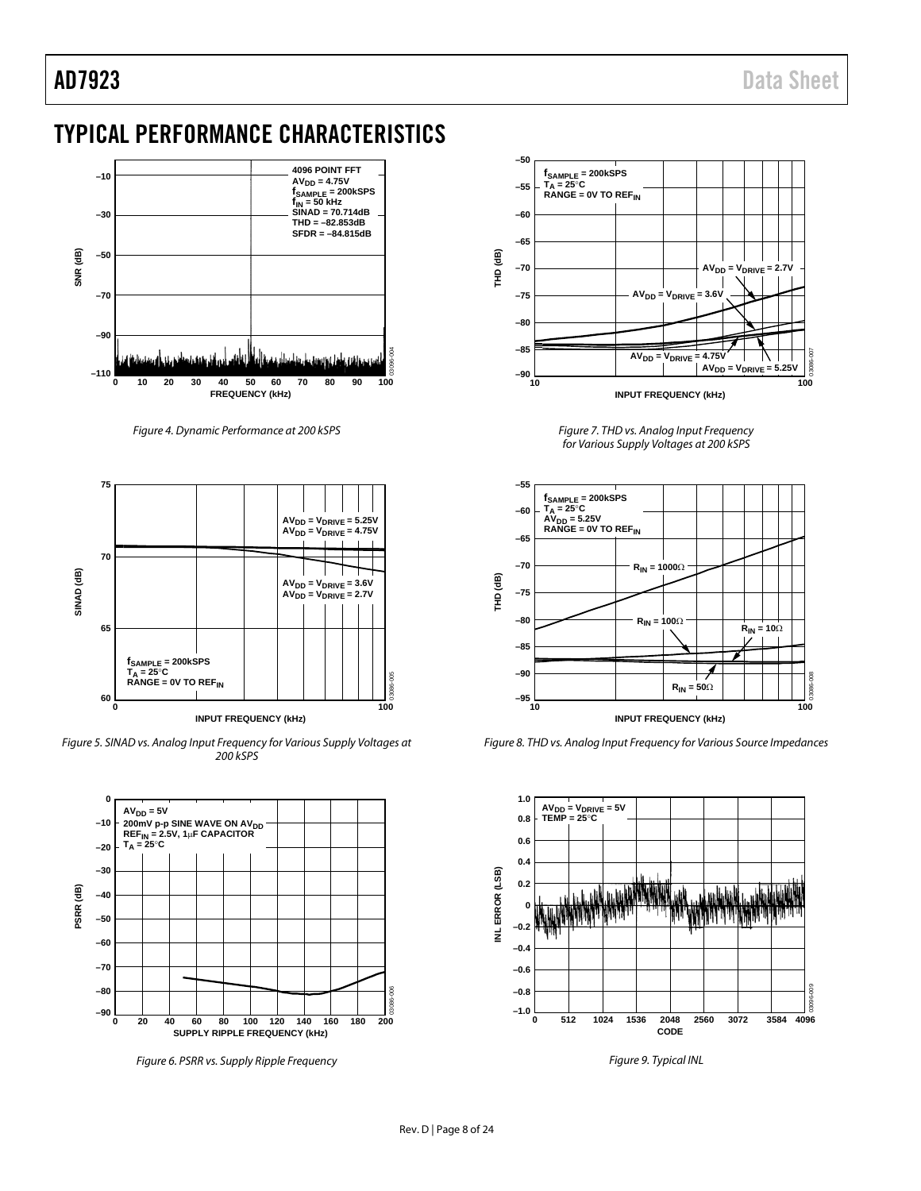## <span id="page-7-0"></span>TYPICAL PERFORMANCE CHARACTERISTICS



*Figure 4. Dynamic Performance at 200 kSPS*



*Figure 5. SINAD vs. Analog Input Frequency for Various Supply Voltages at 200 kSPS*



<span id="page-7-1"></span>*Figure 6. PSRR vs. Supply Ripple Frequency*



*Figure 7. THD vs. Analog Input Frequency for Various Supply Voltages at 200 kSPS*



<span id="page-7-2"></span>*Figure 8. THD vs. Analog Input Frequency for Various Source Impedances*



*Figure 9. Typical INL*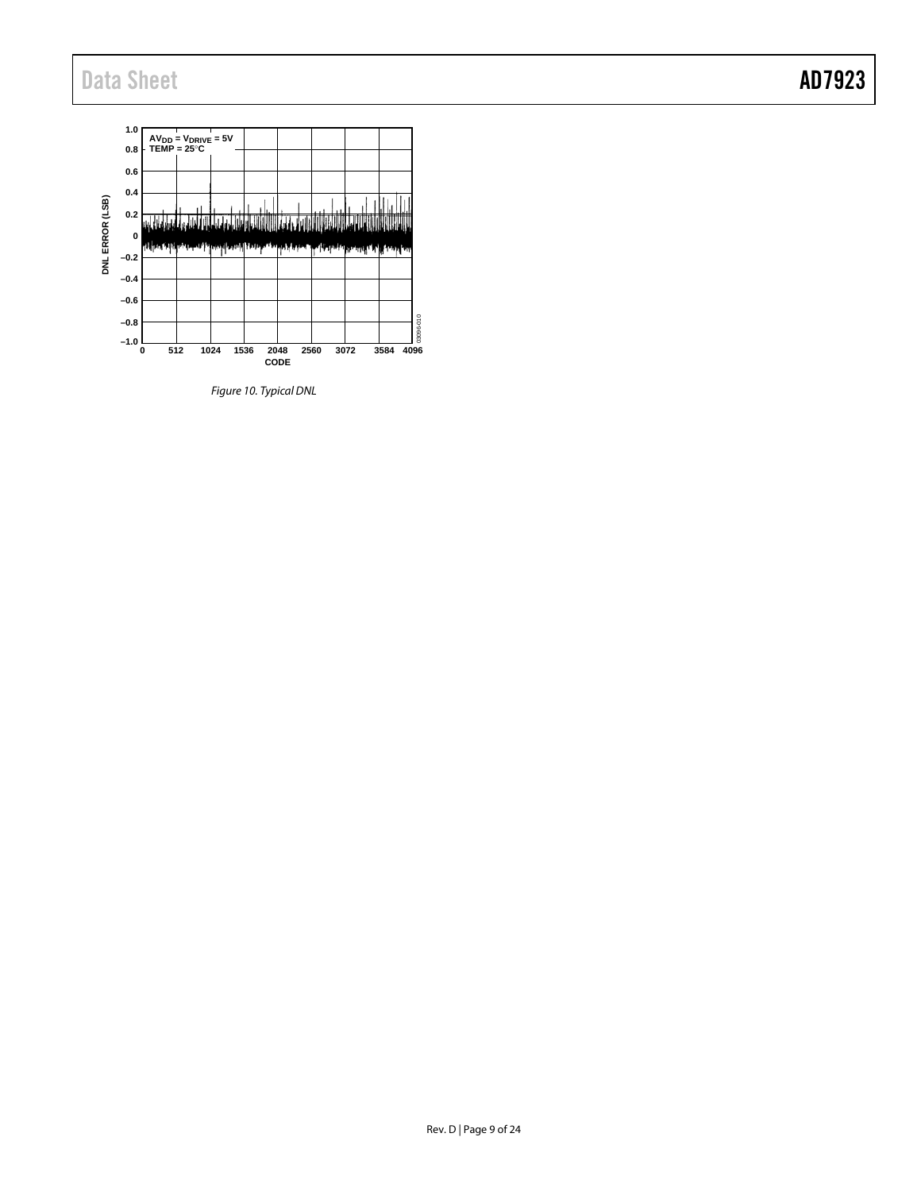

*Figure 10. Typical DNL*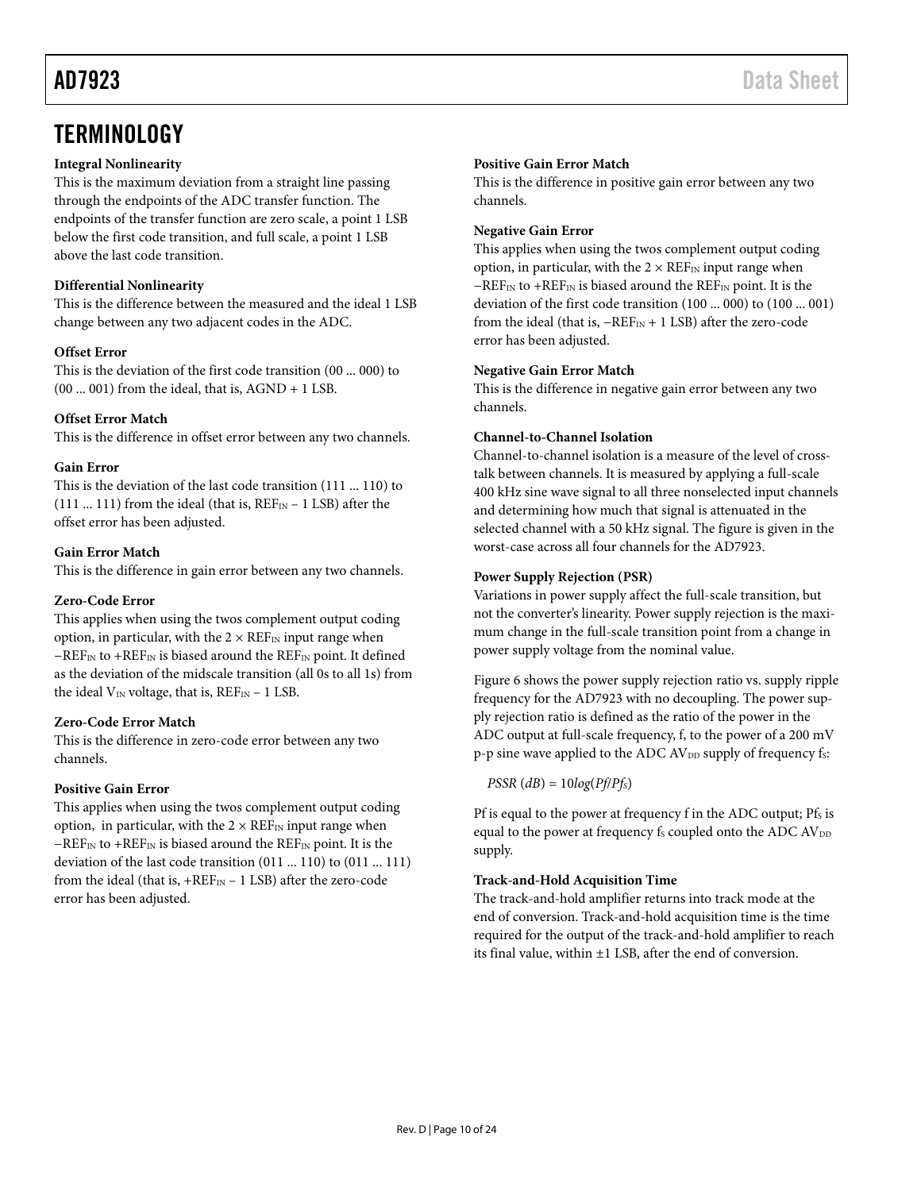### <span id="page-9-0"></span>**TERMINOLOGY**

#### **Integral Nonlinearity**

This is the maximum deviation from a straight line passing through the endpoints of the ADC transfer function. The endpoints of the transfer function are zero scale, a point 1 LSB below the first code transition, and full scale, a point 1 LSB above the last code transition.

#### **Differential Nonlinearity**

This is the difference between the measured and the ideal 1 LSB change between any two adjacent codes in the ADC.

#### **Offset Error**

This is the deviation of the first code transition (00 ... 000) to  $(00 \dots 001)$  from the ideal, that is, AGND + 1 LSB.

#### **Offset Error Match**

This is the difference in offset error between any two channels.

#### **Gain Error**

This is the deviation of the last code transition (111 ... 110) to (111 ... 111) from the ideal (that is,  $REF_{IN}-1$  LSB) after the offset error has been adjusted.

#### **Gain Error Match**

This is the difference in gain error between any two channels.

#### **Zero-Code Error**

This applies when using the twos complement output coding option, in particular, with the  $2 \times \text{REF}_{IN}$  input range when −REF<sub>IN</sub> to +REF<sub>IN</sub> is biased around the REF<sub>IN</sub> point. It defined as the deviation of the midscale transition (all 0s to all 1s) from the ideal  $V_{IN}$  voltage, that is,  $REF_{IN}-1$  LSB.

#### **Zero-Code Error Match**

This is the difference in zero-code error between any two channels.

#### **Positive Gain Error**

This applies when using the twos complement output coding option, in particular, with the  $2 \times \text{REF}_{\text{IN}}$  input range when −REFIN to +REFIN is biased around the REFIN point. It is the deviation of the last code transition (011 ... 110) to (011 ... 111) from the ideal (that is,  $+REF_{IN}-1$  LSB) after the zero-code error has been adjusted.

#### **Positive Gain Error Match**

This is the difference in positive gain error between any two channels.

#### **Negative Gain Error**

This applies when using the twos complement output coding option, in particular, with the  $2 \times \text{REF}_{IN}$  input range when  $-REF_{IN}$  to +REF<sub>IN</sub> is biased around the REF<sub>IN</sub> point. It is the deviation of the first code transition (100 ... 000) to (100 ... 001) from the ideal (that is,  $-REF_{IN}+1$  LSB) after the zero-code error has been adjusted.

#### **Negative Gain Error Match**

This is the difference in negative gain error between any two channels.

#### **Channel-to-Channel Isolation**

Channel-to-channel isolation is a measure of the level of crosstalk between channels. It is measured by applying a full-scale 400 kHz sine wave signal to all three nonselected input channels and determining how much that signal is attenuated in the selected channel with a 50 kHz signal. The figure is given in the worst-case across all four channels for the AD7923.

#### **Power Supply Rejection (PSR)**

Variations in power supply affect the full-scale transition, but not the converter's linearity. Power supply rejection is the maximum change in the full-scale transition point from a change in power supply voltage from the nominal value.

[Figure 6](#page-7-1) shows the power supply rejection ratio vs. supply ripple frequency for the AD7923 with no decoupling. The power supply rejection ratio is defined as the ratio of the power in the ADC output at full-scale frequency, f, to the power of a 200 mV p-p sine wave applied to the ADC AV<sub>DD</sub> supply of frequency fs:

 $PSSR$  ( $dB$ ) = 10 $log(Pf/Pf<sub>S</sub>)$ 

Pf is equal to the power at frequency f in the ADC output; Pfs is equal to the power at frequency fs coupled onto the ADC AV<sub>DD</sub> supply.

#### **Track-and-Hold Acquisition Time**

The track-and-hold amplifier returns into track mode at the end of conversion. Track-and-hold acquisition time is the time required for the output of the track-and-hold amplifier to reach its final value, within ±1 LSB, after the end of conversion.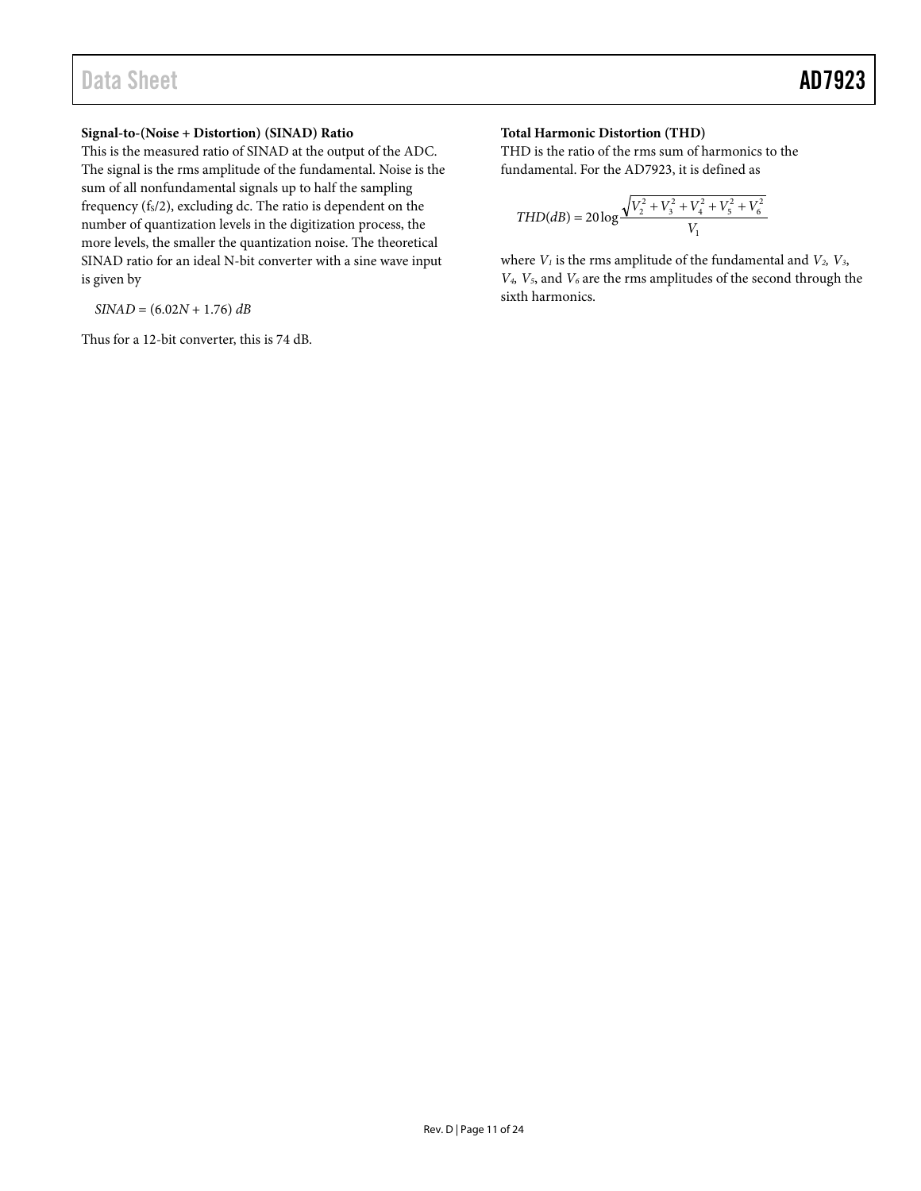#### **Signal-to-(Noise + Distortion) (SINAD) Ratio**

This is the measured ratio of SINAD at the output of the ADC. The signal is the rms amplitude of the fundamental. Noise is the sum of all nonfundamental signals up to half the sampling frequency  $(f_s/2)$ , excluding dc. The ratio is dependent on the number of quantization levels in the digitization process, the more levels, the smaller the quantization noise. The theoretical SINAD ratio for an ideal N-bit converter with a sine wave input is given by

*SINAD* = (6.02*N* + 1.76) *dB*

Thus for a 12-bit converter, this is 74 dB.

#### **Total Harmonic Distortion (THD)**

THD is the ratio of the rms sum of harmonics to the fundamental. For the AD7923, it is defined as

$$
THD(dB) = 20 \log \frac{\sqrt{V_2^2 + V_3^2 + V_4^2 + V_5^2 + V_6^2}}{V_1}
$$

where  $V_1$  is the rms amplitude of the fundamental and  $V_2$ ,  $V_3$ , *V4, V5*, and *V6* are the rms amplitudes of the second through the sixth harmonics.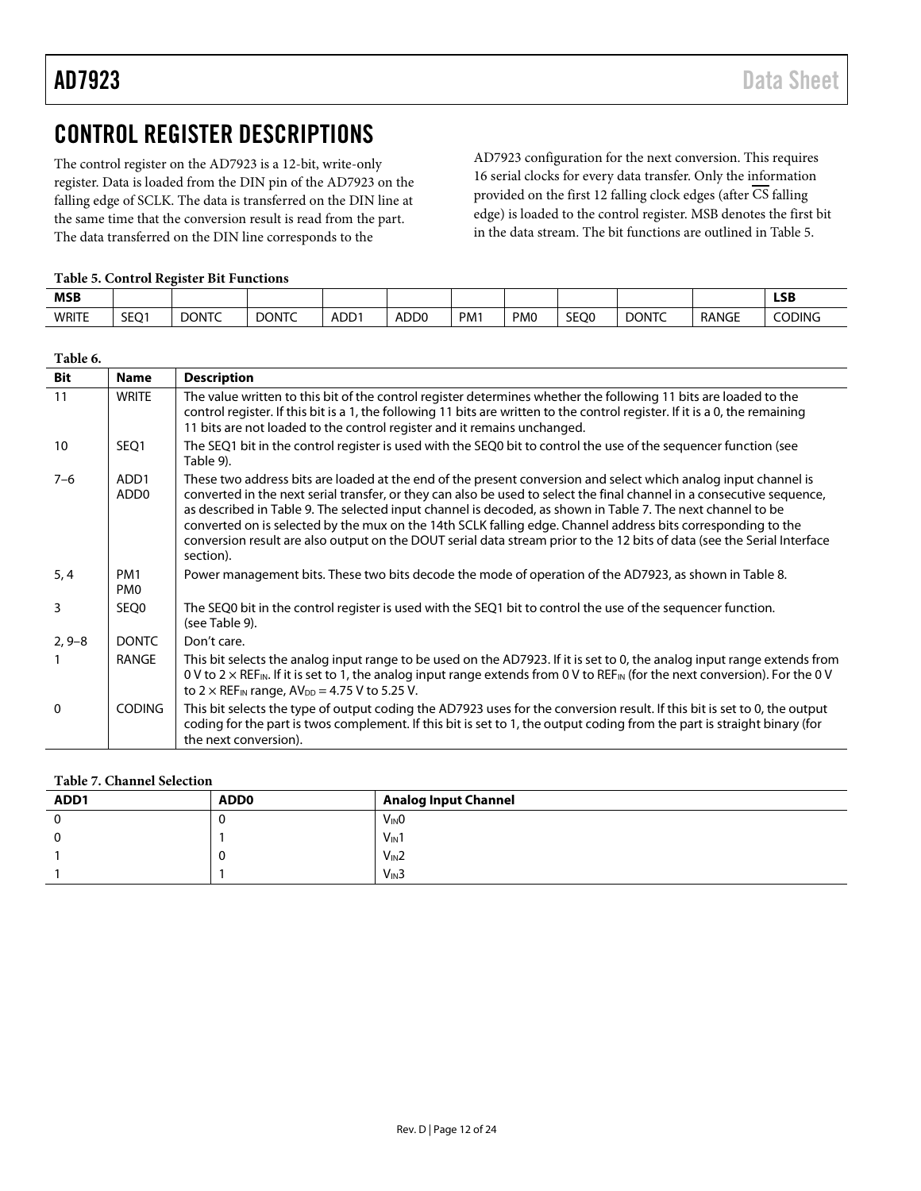## <span id="page-11-0"></span>CONTROL REGISTER DESCRIPTIONS

The control register on the AD7923 is a 12-bit, write-only register. Data is loaded from the DIN pin of the AD7923 on the falling edge of SCLK. The data is transferred on the DIN line at the same time that the conversion result is read from the part. The data transferred on the DIN line corresponds to the

AD7923 configuration for the next conversion. This requires 16 serial clocks for every data transfer. Only the information provided on the first 12 falling clock edges (after  $\overline{\text{CS}}$  falling edge) is loaded to the control register. MSB denotes the first bit in the data stream. The bit functions are outlined i[n Table 5.](#page-11-1)

#### <span id="page-11-1"></span>**Table 5. Control Register Bit Functions**

| <b>MSB</b>   |      |              |              |         |                  |                 |                 |      |              |              | <b>LSB</b>    |
|--------------|------|--------------|--------------|---------|------------------|-----------------|-----------------|------|--------------|--------------|---------------|
| <b>WRITE</b> | SEQ1 | <b>DONTC</b> | <b>DONTC</b> | $ADD^*$ | ADD <sub>0</sub> | PM <sub>1</sub> | PM <sub>0</sub> | SEQ0 | <b>DONTC</b> | <b>RANGE</b> | <b>CODING</b> |

| Table 6.     |                                      |                                                                                                                                                                                                                                                                                                                                                                                                                                                                                                                                                                                                                  |
|--------------|--------------------------------------|------------------------------------------------------------------------------------------------------------------------------------------------------------------------------------------------------------------------------------------------------------------------------------------------------------------------------------------------------------------------------------------------------------------------------------------------------------------------------------------------------------------------------------------------------------------------------------------------------------------|
| <b>Bit</b>   | <b>Name</b>                          | <b>Description</b>                                                                                                                                                                                                                                                                                                                                                                                                                                                                                                                                                                                               |
| 11           | <b>WRITE</b>                         | The value written to this bit of the control register determines whether the following 11 bits are loaded to the<br>control register. If this bit is a 1, the following 11 bits are written to the control register. If it is a 0, the remaining<br>11 bits are not loaded to the control register and it remains unchanged.                                                                                                                                                                                                                                                                                     |
| 10           | SEQ1                                 | The SEQ1 bit in the control register is used with the SEQ0 bit to control the use of the sequencer function (see<br>Table 9).                                                                                                                                                                                                                                                                                                                                                                                                                                                                                    |
| $7 - 6$      | ADD <sub>1</sub><br>ADD <sub>0</sub> | These two address bits are loaded at the end of the present conversion and select which analog input channel is<br>converted in the next serial transfer, or they can also be used to select the final channel in a consecutive sequence,<br>as described in Table 9. The selected input channel is decoded, as shown in Table 7. The next channel to be<br>converted on is selected by the mux on the 14th SCLK falling edge. Channel address bits corresponding to the<br>conversion result are also output on the DOUT serial data stream prior to the 12 bits of data (see the Serial Interface<br>section). |
| 5, 4         | PM <sub>1</sub><br>PM <sub>0</sub>   | Power management bits. These two bits decode the mode of operation of the AD7923, as shown in Table 8.                                                                                                                                                                                                                                                                                                                                                                                                                                                                                                           |
| 3            | SEQ0                                 | The SEQ0 bit in the control register is used with the SEQ1 bit to control the use of the sequencer function.<br>(see Table 9).                                                                                                                                                                                                                                                                                                                                                                                                                                                                                   |
| $2, 9 - 8$   | <b>DONTC</b>                         | Don't care.                                                                                                                                                                                                                                                                                                                                                                                                                                                                                                                                                                                                      |
|              | RANGE                                | This bit selects the analog input range to be used on the AD7923. If it is set to 0, the analog input range extends from<br>0 V to $2 \times$ REF <sub>IN</sub> . If it is set to 1, the analog input range extends from 0 V to REF <sub>IN</sub> (for the next conversion). For the 0 V<br>to $2 \times$ REF <sub>IN</sub> range, $AV_{DD} = 4.75$ V to 5.25 V.                                                                                                                                                                                                                                                 |
| $\mathbf{0}$ | <b>CODING</b>                        | This bit selects the type of output coding the AD7923 uses for the conversion result. If this bit is set to 0, the output<br>coding for the part is twos complement. If this bit is set to 1, the output coding from the part is straight binary (for<br>the next conversion).                                                                                                                                                                                                                                                                                                                                   |

#### <span id="page-11-2"></span>**Table 7. Channel Selection**

| ADD1 | <b>ADD0</b> | <b>Analog Input Channel</b> |
|------|-------------|-----------------------------|
|      | ν           | $V_{\text{IN}}0$            |
|      |             | $V_{IN}1$                   |
|      | ν           | $V_{IN}2$                   |
|      |             | $V_{IN}3$                   |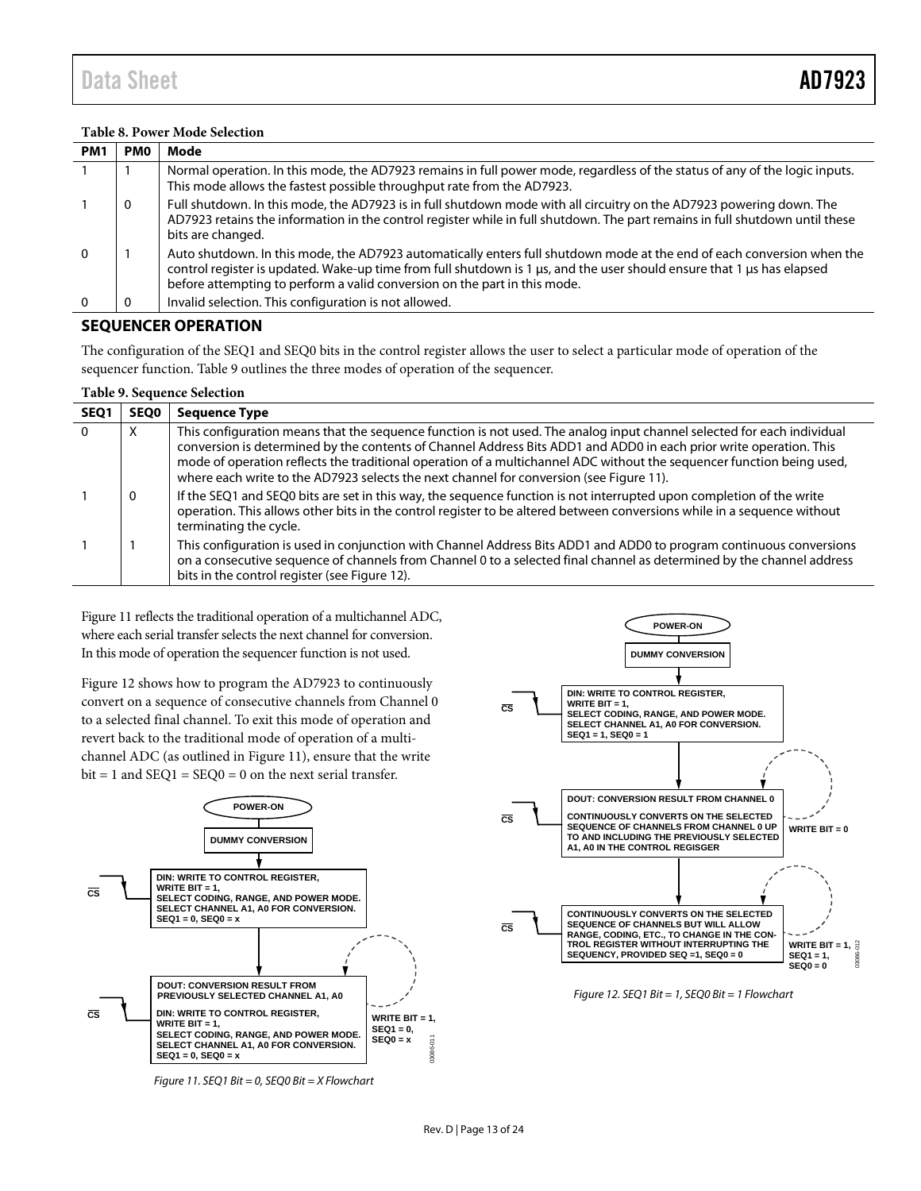<span id="page-12-2"></span>

| PM <sub>1</sub> | <b>PMO</b> | Mode                                                                                                                                                                                                                                                                                                                          |
|-----------------|------------|-------------------------------------------------------------------------------------------------------------------------------------------------------------------------------------------------------------------------------------------------------------------------------------------------------------------------------|
|                 |            | Normal operation. In this mode, the AD7923 remains in full power mode, regardless of the status of any of the logic inputs.<br>This mode allows the fastest possible throughput rate from the AD7923.                                                                                                                         |
|                 | 0          | Full shutdown. In this mode, the AD7923 is in full shutdown mode with all circuitry on the AD7923 powering down. The<br>AD7923 retains the information in the control register while in full shutdown. The part remains in full shutdown until these<br>bits are changed.                                                     |
| $\Omega$        |            | Auto shutdown. In this mode, the AD7923 automatically enters full shutdown mode at the end of each conversion when the<br>control register is updated. Wake-up time from full shutdown is 1 µs, and the user should ensure that 1 µs has elapsed<br>before attempting to perform a valid conversion on the part in this mode. |
|                 |            | Invalid selection. This configuration is not allowed.                                                                                                                                                                                                                                                                         |

#### <span id="page-12-0"></span>**SEQUENCER OPERATION**

The configuration of the SEQ1 and SEQ0 bits in the control register allows the user to select a particular mode of operation of the sequencer function. [Table 9](#page-12-1) outlines the three modes of operation of the sequencer.

<span id="page-12-1"></span>

| <b>Table 9. Sequence Selection</b> |      |                                                                                                                                                                                                                                                                                                                                                                                                                                                                  |  |  |  |  |
|------------------------------------|------|------------------------------------------------------------------------------------------------------------------------------------------------------------------------------------------------------------------------------------------------------------------------------------------------------------------------------------------------------------------------------------------------------------------------------------------------------------------|--|--|--|--|
| SEQ <sub>1</sub>                   | SEQ0 | <b>Sequence Type</b>                                                                                                                                                                                                                                                                                                                                                                                                                                             |  |  |  |  |
| $\Omega$                           | X    | This configuration means that the sequence function is not used. The analog input channel selected for each individual<br>conversion is determined by the contents of Channel Address Bits ADD1 and ADD0 in each prior write operation. This<br>mode of operation reflects the traditional operation of a multichannel ADC without the sequencer function being used,<br>where each write to the AD7923 selects the next channel for conversion (see Figure 11). |  |  |  |  |
|                                    | 0    | If the SEQ1 and SEQ0 bits are set in this way, the sequence function is not interrupted upon completion of the write<br>operation. This allows other bits in the control register to be altered between conversions while in a sequence without<br>terminating the cycle.                                                                                                                                                                                        |  |  |  |  |
|                                    |      | This configuration is used in conjunction with Channel Address Bits ADD1 and ADD0 to program continuous conversions<br>on a consecutive sequence of channels from Channel 0 to a selected final channel as determined by the channel address<br>bits in the control register (see Figure 12).                                                                                                                                                                    |  |  |  |  |

[Figure 11](#page-12-3) reflects the traditional operation of a multichannel ADC, where each serial transfer selects the next channel for conversion. In this mode of operation the sequencer function is not used.

[Figure 12](#page-12-4) shows how to program the AD7923 to continuously convert on a sequence of consecutive channels from Channel 0 to a selected final channel. To exit this mode of operation and revert back to the traditional mode of operation of a multichannel ADC (as outlined in [Figure 11\)](#page-12-3), ensure that the write  $bit = 1$  and  $SEQ1 = SEQ0 = 0$  on the next serial transfer.



<span id="page-12-3"></span>



<span id="page-12-4"></span>*Figure 12. SEQ1 Bit = 1, SEQ0 Bit = 1 Flowchart*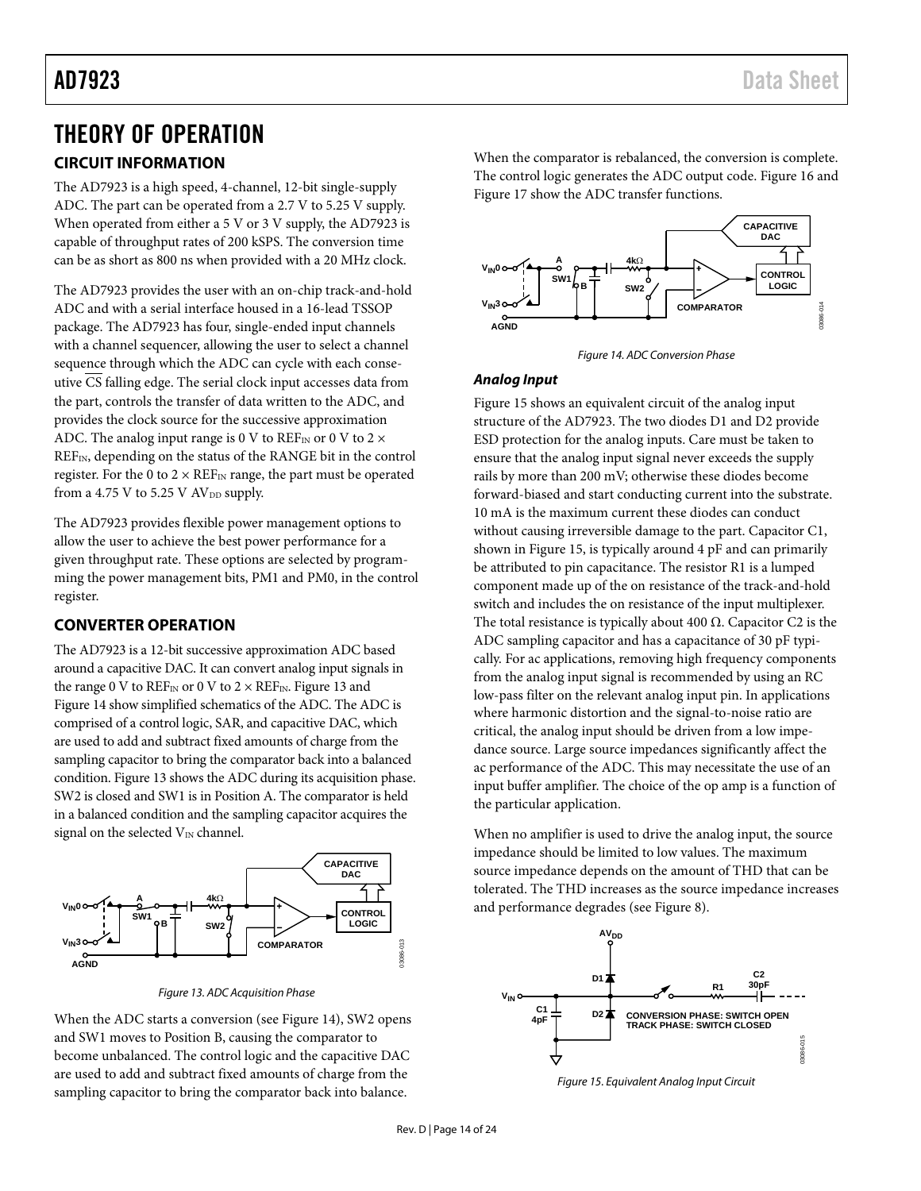### <span id="page-13-0"></span>THEORY OF OPERATION

### <span id="page-13-1"></span>**CIRCUIT INFORMATION**

The AD7923 is a high speed, 4-channel, 12-bit single-supply ADC. The part can be operated from a 2.7 V to 5.25 V supply. When operated from either a 5 V or 3 V supply, the AD7923 is capable of throughput rates of 200 kSPS. The conversion time can be as short as 800 ns when provided with a 20 MHz clock.

The AD7923 provides the user with an on-chip track-and-hold ADC and with a serial interface housed in a 16-lead TSSOP package. The AD7923 has four, single-ended input channels with a channel sequencer, allowing the user to select a channel sequence through which the ADC can cycle with each conseutive CS falling edge. The serial clock input accesses data from the part, controls the transfer of data written to the ADC, and provides the clock source for the successive approximation ADC. The analog input range is 0 V to  $REF_{IN}$  or 0 V to 2  $\times$ REFIN, depending on the status of the RANGE bit in the control register. For the 0 to  $2 \times \text{REF}_{IN}$  range, the part must be operated from a 4.75 V to 5.25 V  $AV<sub>DD</sub>$  supply.

The AD7923 provides flexible power management options to allow the user to achieve the best power performance for a given throughput rate. These options are selected by programming the power management bits, PM1 and PM0, in the control register.

#### <span id="page-13-2"></span>**CONVERTER OPERATION**

The AD7923 is a 12-bit successive approximation ADC based around a capacitive DAC. It can convert analog input signals in the range 0 V to  $REF_{IN}$  or 0 V to 2  $\times$  REF<sub>IN</sub>[. Figure 13](#page-13-3) and [Figure 14](#page-13-4) show simplified schematics of the ADC. The ADC is comprised of a control logic, SAR, and capacitive DAC, which are used to add and subtract fixed amounts of charge from the sampling capacitor to bring the comparator back into a balanced condition. [Figure 13](#page-13-3) shows the ADC during its acquisition phase. SW2 is closed and SW1 is in Position A. The comparator is held in a balanced condition and the sampling capacitor acquires the signal on the selected  $V_{IN}$  channel.



*Figure 13. ADC Acquisition Phase*

<span id="page-13-3"></span>When the ADC starts a conversion (se[e Figure 14\)](#page-13-4), SW2 opens and SW1 moves to Position B, causing the comparator to become unbalanced. The control logic and the capacitive DAC are used to add and subtract fixed amounts of charge from the sampling capacitor to bring the comparator back into balance.

When the comparator is rebalanced, the conversion is complete. The control logic generates the ADC output code. [Figure 16](#page-14-1) and [Figure 17](#page-14-2) show the ADC transfer functions.



*Figure 14. ADC Conversion Phase*

#### <span id="page-13-4"></span>*Analog Input*

[Figure 15](#page-13-5) shows an equivalent circuit of the analog input structure of the AD7923. The two diodes D1 and D2 provide ESD protection for the analog inputs. Care must be taken to ensure that the analog input signal never exceeds the supply rails by more than 200 mV; otherwise these diodes become forward-biased and start conducting current into the substrate. 10 mA is the maximum current these diodes can conduct without causing irreversible damage to the part. Capacitor C1, shown in [Figure 15,](#page-13-5) is typically around 4 pF and can primarily be attributed to pin capacitance. The resistor R1 is a lumped component made up of the on resistance of the track-and-hold switch and includes the on resistance of the input multiplexer. The total resistance is typically about 400  $\Omega$ . Capacitor C2 is the ADC sampling capacitor and has a capacitance of 30 pF typically. For ac applications, removing high frequency components from the analog input signal is recommended by using an RC low-pass filter on the relevant analog input pin. In applications where harmonic distortion and the signal-to-noise ratio are critical, the analog input should be driven from a low impedance source. Large source impedances significantly affect the ac performance of the ADC. This may necessitate the use of an input buffer amplifier. The choice of the op amp is a function of the particular application.

When no amplifier is used to drive the analog input, the source impedance should be limited to low values. The maximum source impedance depends on the amount of THD that can be tolerated. The THD increases as the source impedance increases and performance degrades (se[e Figure 8\)](#page-7-2).



<span id="page-13-5"></span>*Figure 15. Equivalent Analog Input Circuit*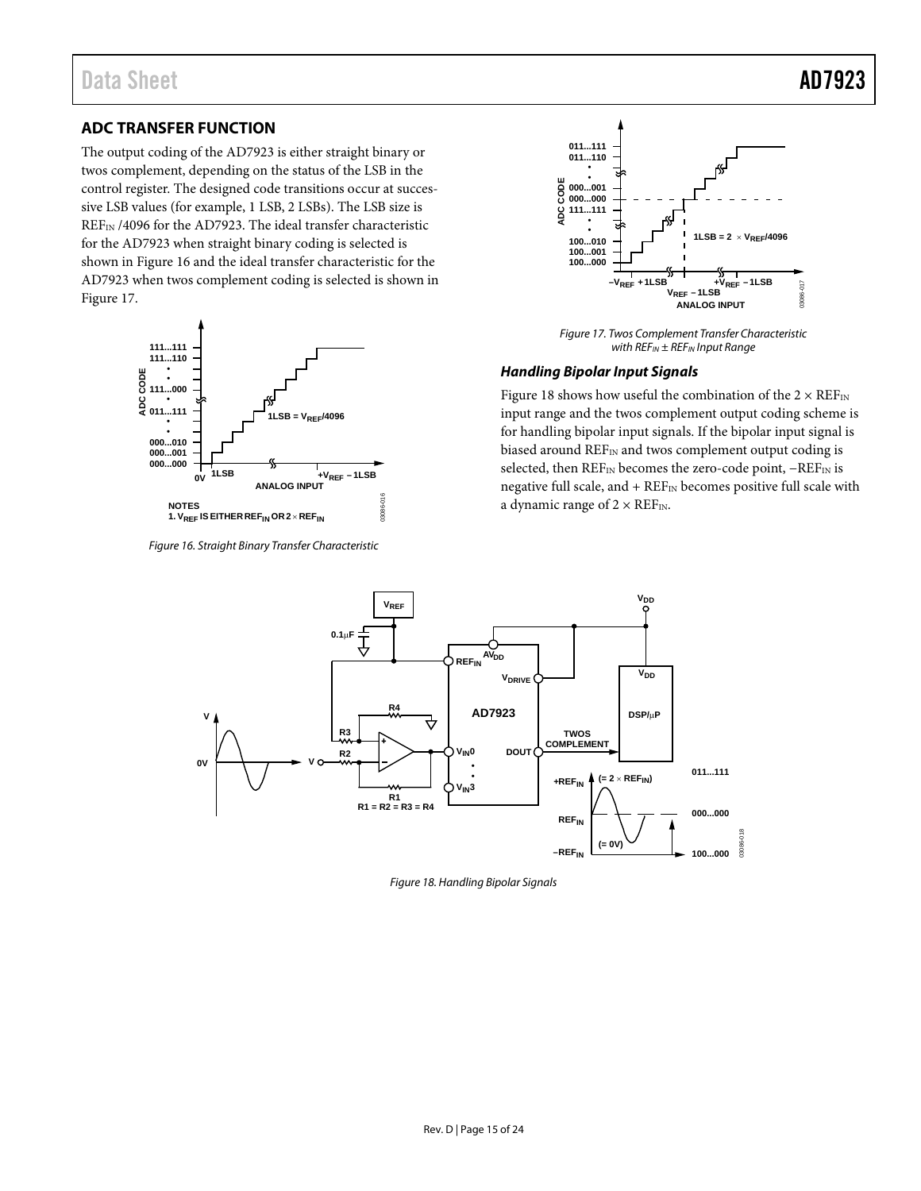<span id="page-14-0"></span>The output coding of the AD7923 is either straight binary or twos complement, depending on the status of the LSB in the control register. The designed code transitions occur at successive LSB values (for example, 1 LSB, 2 LSBs). The LSB size is REFIN /4096 for the AD7923. The ideal transfer characteristic for the AD7923 when straight binary coding is selected is shown in [Figure 16](#page-14-1) and the ideal transfer characteristic for the AD7923 when twos complement coding is selected is shown in [Figure 17.](#page-14-2)



<span id="page-14-1"></span>*Figure 16. Straight Binary Transfer Characteristic*



*Figure 17. Twos Complement Transfer Characteristic with REFIN ± REFIN Input Range*

#### <span id="page-14-2"></span>*Handling Bipolar Input Signals*

[Figure 18](#page-14-3) shows how useful the combination of the  $2 \times REF_{IN}$ input range and the twos complement output coding scheme is for handling bipolar input signals. If the bipolar input signal is biased around REF<sub>IN</sub> and twos complement output coding is selected, then REF<sub>IN</sub> becomes the zero-code point, −REF<sub>IN</sub> is negative full scale, and +  $\text{REF}_{\text{IN}}$  becomes positive full scale with a dynamic range of  $2 \times \text{REF}_{IN}$ .



<span id="page-14-3"></span>*Figure 18. Handling Bipolar Signals*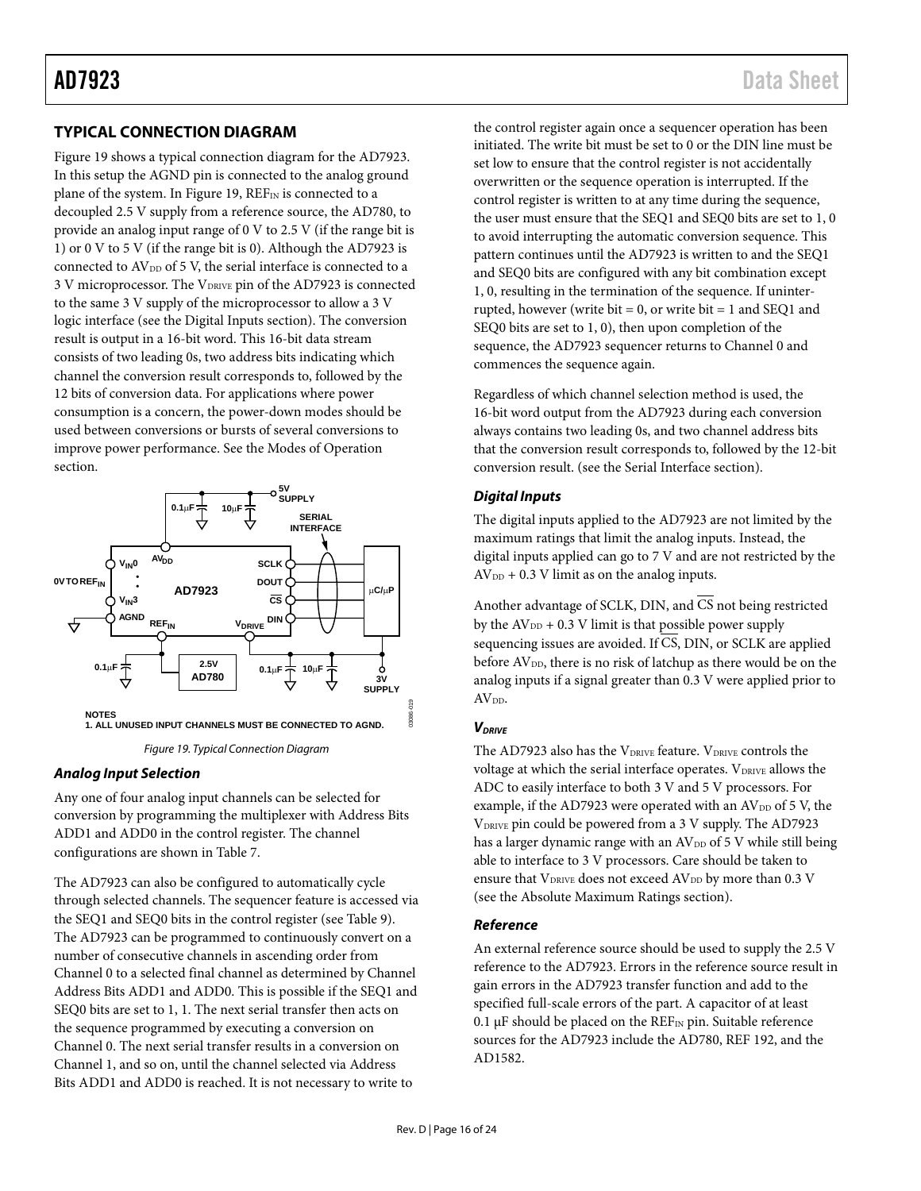### <span id="page-15-0"></span>**TYPICAL CONNECTION DIAGRAM**

[Figure 19](#page-15-1) shows a typical connection diagram for the AD7923. In this setup the AGND pin is connected to the analog ground plane of the system. I[n Figure 19,](#page-15-1)  $REF_{IN}$  is connected to a decoupled 2.5 V supply from a reference source, the AD780, to provide an analog input range of 0 V to 2.5 V (if the range bit is 1) or 0 V to 5 V (if the range bit is 0). Although the AD7923 is connected to  $AV_{DD}$  of 5 V, the serial interface is connected to a 3 V microprocessor. The VDRIVE pin of the AD7923 is connected to the same 3 V supply of the microprocessor to allow a 3 V logic interface (see the [Digital Inputs](#page-15-2) section). The conversion result is output in a 16-bit word. This 16-bit data stream consists of two leading 0s, two address bits indicating which channel the conversion result corresponds to, followed by the 12 bits of conversion data. For applications where power consumption is a concern, the power-down modes should be used between conversions or bursts of several conversions to improve power performance. See the [Modes of Operation](#page-16-0) section.



*Figure 19. Typical Connection Diagram*

#### <span id="page-15-1"></span>*Analog Input Selection*

Any one of four analog input channels can be selected for conversion by programming the multiplexer with Address Bits ADD1 and ADD0 in the control register. The channel configurations are shown in [Table 7.](#page-11-2)

The AD7923 can also be configured to automatically cycle through selected channels. The sequencer feature is accessed via the SEQ1 and SEQ0 bits in the control register (se[e Table 9\)](#page-12-1). The AD7923 can be programmed to continuously convert on a number of consecutive channels in ascending order from Channel 0 to a selected final channel as determined by Channel Address Bits ADD1 and ADD0. This is possible if the SEQ1 and SEQ0 bits are set to 1, 1. The next serial transfer then acts on the sequence programmed by executing a conversion on Channel 0. The next serial transfer results in a conversion on Channel 1, and so on, until the channel selected via Address Bits ADD1 and ADD0 is reached. It is not necessary to write to

the control register again once a sequencer operation has been initiated. The write bit must be set to 0 or the DIN line must be set low to ensure that the control register is not accidentally overwritten or the sequence operation is interrupted. If the control register is written to at any time during the sequence, the user must ensure that the SEQ1 and SEQ0 bits are set to 1, 0 to avoid interrupting the automatic conversion sequence. This pattern continues until the AD7923 is written to and the SEQ1 and SEQ0 bits are configured with any bit combination except 1, 0, resulting in the termination of the sequence. If uninterrupted, however (write bit  $= 0$ , or write bit  $= 1$  and SEQ1 and SEQ0 bits are set to 1, 0), then upon completion of the sequence, the AD7923 sequencer returns to Channel 0 and commences the sequence again.

Regardless of which channel selection method is used, the 16-bit word output from the AD7923 during each conversion always contains two leading 0s, and two channel address bits that the conversion result corresponds to, followed by the 12-bit conversion result. (see th[e Serial Interface](#page-19-0) section).

#### <span id="page-15-2"></span>*Digital Inputs*

The digital inputs applied to the AD7923 are not limited by the maximum ratings that limit the analog inputs. Instead, the digital inputs applied can go to 7 V and are not restricted by the  $AV<sub>DD</sub> + 0.3 V$  limit as on the analog inputs.

Another advantage of SCLK, DIN, and  $\overline{CS}$  not being restricted by the  $AV_{DD}$  + 0.3 V limit is that possible power supply sequencing issues are avoided. If CS, DIN, or SCLK are applied before AV<sub>DD</sub>, there is no risk of latchup as there would be on the analog inputs if a signal greater than 0.3 V were applied prior to AV<sub>DD</sub>.

#### *VDRIVE*

The AD7923 also has the  $V_{DRIVE}$  feature.  $V_{DRIVE}$  controls the voltage at which the serial interface operates. VDRIVE allows the ADC to easily interface to both 3 V and 5 V processors. For example, if the AD7923 were operated with an  $AV_{DD}$  of 5 V, the VDRIVE pin could be powered from a 3 V supply. The AD7923 has a larger dynamic range with an  $AV_{DD}$  of 5 V while still being able to interface to 3 V processors. Care should be taken to ensure that V<sub>DRIVE</sub> does not exceed AV<sub>DD</sub> by more than 0.3 V (see the [Absolute Maximum Ratings](#page-5-0) section).

#### *Reference*

An external reference source should be used to supply the 2.5 V reference to the AD7923. Errors in the reference source result in gain errors in the AD7923 transfer function and add to the specified full-scale errors of the part. A capacitor of at least 0.1  $\mu$ F should be placed on the REF<sub>IN</sub> pin. Suitable reference sources for the AD7923 include the AD780, REF 192, and the AD1582.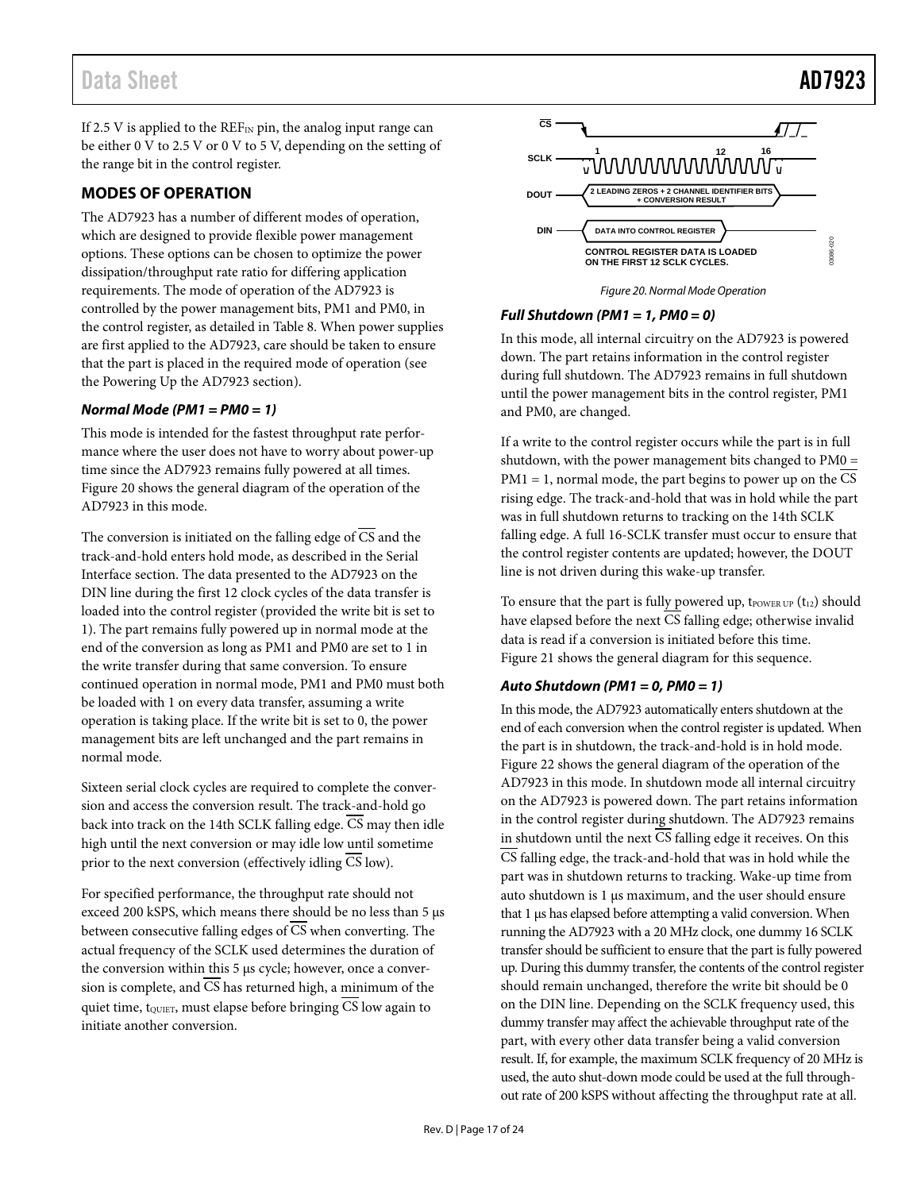### Data Sheet **AD7923**

If 2.5 V is applied to the  $REF_{IN}$  pin, the analog input range can be either 0 V to 2.5 V or 0 V to 5 V, depending on the setting of the range bit in the control register.

#### <span id="page-16-0"></span>**MODES OF OPERATION**

The AD7923 has a number of different modes of operation, which are designed to provide flexible power management options. These options can be chosen to optimize the power dissipation/throughput rate ratio for differing application requirements. The mode of operation of the AD7923 is controlled by the power management bits, PM1 and PM0, in the control register, as detailed in [Table 8.](#page-12-2) When power supplies are first applied to the AD7923, care should be taken to ensure that the part is placed in the required mode of operation (see the [Powering Up the AD7923](#page-17-0) section).

#### *Normal Mode (PM1 = PM0 = 1)*

This mode is intended for the fastest throughput rate performance where the user does not have to worry about power-up time since the AD7923 remains fully powered at all times. [Figure 20](#page-16-1) shows the general diagram of the operation of the AD7923 in this mode.

The conversion is initiated on the falling edge of CS and the track-and-hold enters hold mode, as described in the [Serial](#page-19-0)  [Interface](#page-19-0) section. The data presented to the AD7923 on the DIN line during the first 12 clock cycles of the data transfer is loaded into the control register (provided the write bit is set to 1). The part remains fully powered up in normal mode at the end of the conversion as long as PM1 and PM0 are set to 1 in the write transfer during that same conversion. To ensure continued operation in normal mode, PM1 and PM0 must both be loaded with 1 on every data transfer, assuming a write operation is taking place. If the write bit is set to 0, the power management bits are left unchanged and the part remains in normal mode.

Sixteen serial clock cycles are required to complete the conversion and access the conversion result. The track-and-hold go back into track on the 14th SCLK falling edge. CS may then idle high until the next conversion or may idle low until sometime prior to the next conversion (effectively idling  $\overline{CS}$  low).

For specified performance, the throughput rate should not exceed 200 kSPS, which means there should be no less than 5 µs between consecutive falling edges of CS when converting. The actual frequency of the SCLK used determines the duration of the conversion within this 5 µs cycle; however, once a conversion is complete, and CS has returned high, a minimum of the quiet time,  $t_{\text{QUIET}}$ , must elapse before bringing  $\overline{CS}$  low again to initiate another conversion.



*Figure 20. Normal Mode Operation*

#### <span id="page-16-1"></span>*Full Shutdown (PM1 = 1, PM0 = 0)*

In this mode, all internal circuitry on the AD7923 is powered down. The part retains information in the control register during full shutdown. The AD7923 remains in full shutdown until the power management bits in the control register, PM1 and PM0, are changed.

If a write to the control register occurs while the part is in full shutdown, with the power management bits changed to PM0 =  $PM1 = 1$ , normal mode, the part begins to power up on the  $\overline{CS}$ rising edge. The track-and-hold that was in hold while the part was in full shutdown returns to tracking on the 14th SCLK falling edge. A full 16-SCLK transfer must occur to ensure that the control register contents are updated; however, the DOUT line is not driven during this wake-up transfer.

To ensure that the part is fully powered up,  $t_{\text{Power UP}}(t_{12})$  should have elapsed before the next  $\overline{\text{CS}}$  falling edge; otherwise invalid data is read if a conversion is initiated before this time. [Figure 21](#page-17-1) shows the general diagram for this sequence.

#### *Auto Shutdown (PM1 = 0, PM0 = 1)*

In this mode, the AD7923 automatically enters shutdown at the end of each conversion when the control register is updated. When the part is in shutdown, the track-and-hold is in hold mode. [Figure 22](#page-17-2) shows the general diagram of the operation of the AD7923 in this mode. In shutdown mode all internal circuitry on the AD7923 is powered down. The part retains information in the control register during shutdown. The AD7923 remains in shutdown until the next CS falling edge it receives. On this  $\overline{\text{CS}}$  falling edge, the track-and-hold that was in hold while the part was in shutdown returns to tracking. Wake-up time from auto shutdown is 1 µs maximum, and the user should ensure that 1 µs has elapsed before attempting a valid conversion. When running the AD7923 with a 20 MHz clock, one dummy 16 SCLK transfer should be sufficient to ensure that the part is fully powered up. During this dummy transfer, the contents of the control register should remain unchanged, therefore the write bit should be 0 on the DIN line. Depending on the SCLK frequency used, this dummy transfer may affect the achievable throughput rate of the part, with every other data transfer being a valid conversion result. If, for example, the maximum SCLK frequency of 20 MHz is used, the auto shut-down mode could be used at the full throughout rate of 200 kSPS without affecting the throughput rate at all.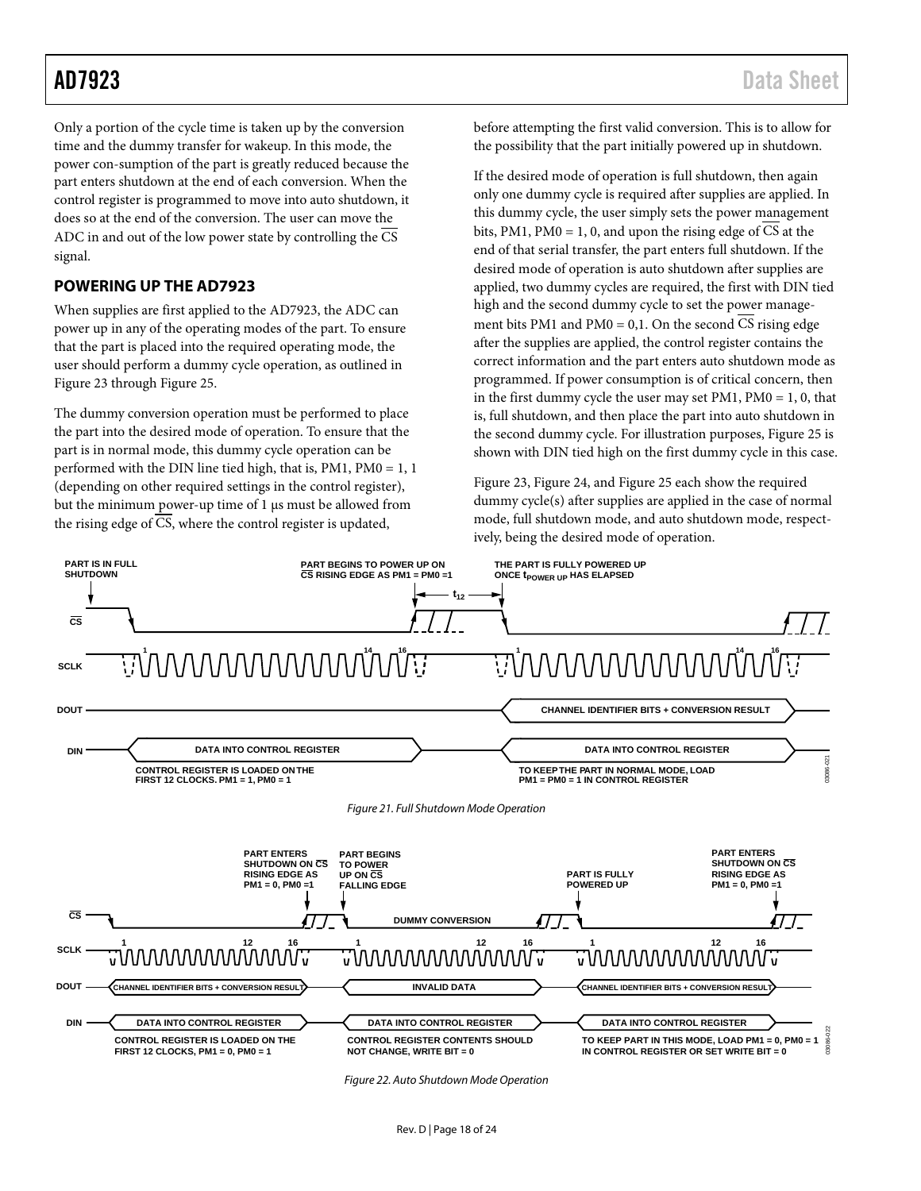Only a portion of the cycle time is taken up by the conversion time and the dummy transfer for wakeup. In this mode, the power con-sumption of the part is greatly reduced because the part enters shutdown at the end of each conversion. When the control register is programmed to move into auto shutdown, it does so at the end of the conversion. The user can move the ADC in and out of the low power state by controlling the CS signal.

#### <span id="page-17-0"></span>**POWERING UP THE AD7923**

When supplies are first applied to the AD7923, the ADC can power up in any of the operating modes of the part. To ensure that the part is placed into the required operating mode, the user should perform a dummy cycle operation, as outlined in [Figure 23](#page-18-1) throug[h Figure 25.](#page-18-2)

The dummy conversion operation must be performed to place the part into the desired mode of operation. To ensure that the part is in normal mode, this dummy cycle operation can be performed with the DIN line tied high, that is, PM1, PM0 = 1, 1 (depending on other required settings in the control register), but the minimum power-up time of 1 µs must be allowed from the rising edge of CS, where the control register is updated,

before attempting the first valid conversion. This is to allow for the possibility that the part initially powered up in shutdown.

If the desired mode of operation is full shutdown, then again only one dummy cycle is required after supplies are applied. In this dummy cycle, the user simply sets the power management bits, PM1, PM0 = 1, 0, and upon the rising edge of  $\overline{CS}$  at the end of that serial transfer, the part enters full shutdown. If the desired mode of operation is auto shutdown after supplies are applied, two dummy cycles are required, the first with DIN tied high and the second dummy cycle to set the power management bits PM1 and PM0 = 0,1. On the second CS rising edge after the supplies are applied, the control register contains the correct information and the part enters auto shutdown mode as programmed. If power consumption is of critical concern, then in the first dummy cycle the user may set PM1, PM0 = 1, 0, that is, full shutdown, and then place the part into auto shutdown in the second dummy cycle. For illustration purposes[, Figure 25](#page-18-2) is shown with DIN tied high on the first dummy cycle in this case.

[Figure 23,](#page-18-1) [Figure 24,](#page-18-3) an[d Figure 25](#page-18-2) each show the required dummy cycle(s) after supplies are applied in the case of normal mode, full shutdown mode, and auto shutdown mode, respectively, being the desired mode of operation.

<span id="page-17-1"></span>

<span id="page-17-2"></span>*Figure 22. Auto Shutdown Mode Operation*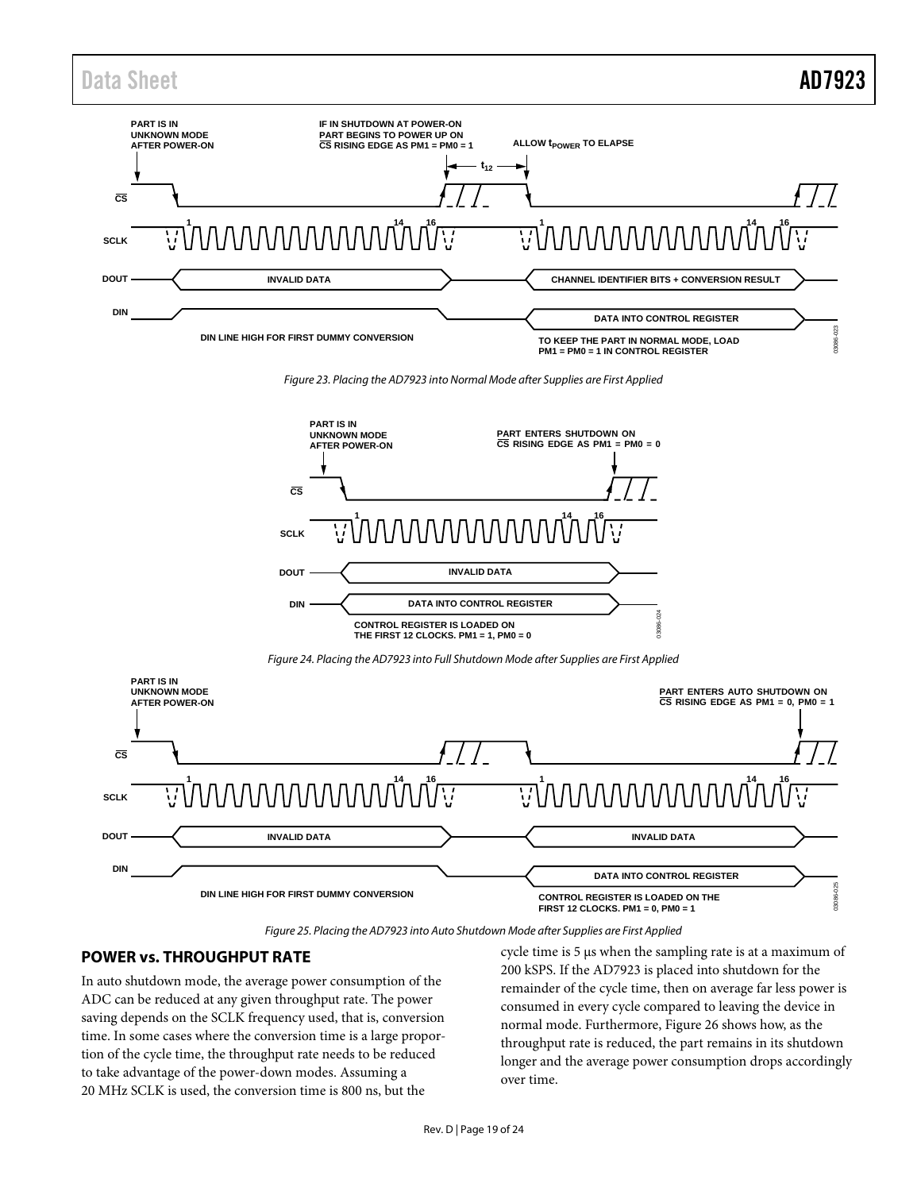### Data Sheet **AD7923**



*Figure 23. Placing the AD7923 into Normal Mode after Supplies are First Applied*

<span id="page-18-1"></span>

*Figure 24. Placing the AD7923 into Full Shutdown Mode after Supplies are First Applied*

<span id="page-18-3"></span>

*Figure 25. Placing the AD7923 into Auto Shutdown Mode after Supplies are First Applied*

#### <span id="page-18-2"></span><span id="page-18-0"></span>**POWER vs. THROUGHPUT RATE**

In auto shutdown mode, the average power consumption of the ADC can be reduced at any given throughput rate. The power saving depends on the SCLK frequency used, that is, conversion time. In some cases where the conversion time is a large proportion of the cycle time, the throughput rate needs to be reduced to take advantage of the power-down modes. Assuming a 20 MHz SCLK is used, the conversion time is 800 ns, but the

cycle time is 5 μs when the sampling rate is at a maximum of 200 kSPS. If the AD7923 is placed into shutdown for the remainder of the cycle time, then on average far less power is consumed in every cycle compared to leaving the device in normal mode. Furthermore[, Figure 26](#page-19-1) shows how, as the throughput rate is reduced, the part remains in its shutdown longer and the average power consumption drops accordingly over time.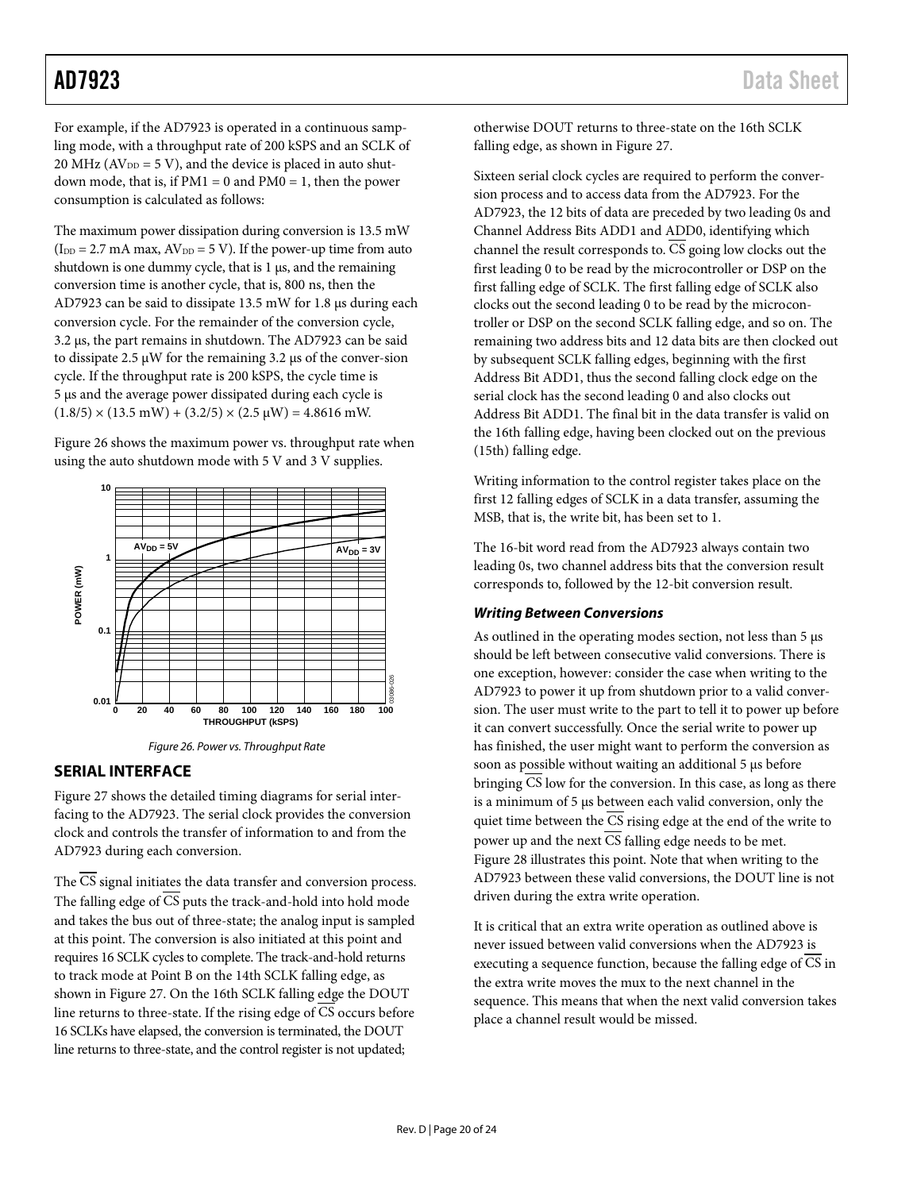For example, if the AD7923 is operated in a continuous sampling mode, with a throughput rate of 200 kSPS and an SCLK of 20 MHz ( $AV<sub>DD</sub> = 5 V$ ), and the device is placed in auto shutdown mode, that is, if  $PM1 = 0$  and  $PM0 = 1$ , then the power consumption is calculated as follows:

The maximum power dissipation during conversion is 13.5 mW  $(I_{DD} = 2.7 \text{ mA max}$ ,  $AV_{DD} = 5 \text{ V}$ ). If the power-up time from auto shutdown is one dummy cycle, that is 1  $\mu$ s, and the remaining conversion time is another cycle, that is, 800 ns, then the AD7923 can be said to dissipate 13.5 mW for 1.8 µs during each conversion cycle. For the remainder of the conversion cycle, 3.2 µs, the part remains in shutdown. The AD7923 can be said to dissipate 2.5  $\mu$ W for the remaining 3.2  $\mu$ s of the conver-sion cycle. If the throughput rate is 200 kSPS, the cycle time is 5 µs and the average power dissipated during each cycle is  $(1.8/5) \times (13.5 \text{ mW}) + (3.2/5) \times (2.5 \text{ \textmu W}) = 4.8616 \text{ mW}.$ 

[Figure 26](#page-19-1) shows the maximum power vs. throughput rate when using the auto shutdown mode with 5 V and 3 V supplies.



*Figure 26. Power vs. Throughput Rate*

#### <span id="page-19-1"></span><span id="page-19-0"></span>**SERIAL INTERFACE**

[Figure 27](#page-20-1) shows the detailed timing diagrams for serial interfacing to the AD7923. The serial clock provides the conversion clock and controls the transfer of information to and from the AD7923 during each conversion.

The CS signal initiates the data transfer and conversion process. The falling edge of  $\overline{\text{CS}}$  puts the track-and-hold into hold mode and takes the bus out of three-state; the analog input is sampled at this point. The conversion is also initiated at this point and requires 16 SCLK cycles to complete. The track-and-hold returns to track mode at Point B on the 14th SCLK falling edge, as shown in [Figure 27.](#page-20-1) On the 16th SCLK falling edge the DOUT line returns to three-state. If the rising edge of CS occurs before 16 SCLKs have elapsed, the conversion is terminated, the DOUT line returns to three-state, and the control register is not updated;

otherwise DOUT returns to three-state on the 16th SCLK falling edge, as shown i[n Figure 27.](#page-20-1)

Sixteen serial clock cycles are required to perform the conversion process and to access data from the AD7923. For the AD7923, the 12 bits of data are preceded by two leading 0s and Channel Address Bits ADD1 and ADD0, identifying which channel the result corresponds to.  $\overline{CS}$  going low clocks out the first leading 0 to be read by the microcontroller or DSP on the first falling edge of SCLK. The first falling edge of SCLK also clocks out the second leading 0 to be read by the microcontroller or DSP on the second SCLK falling edge, and so on. The remaining two address bits and 12 data bits are then clocked out by subsequent SCLK falling edges, beginning with the first Address Bit ADD1, thus the second falling clock edge on the serial clock has the second leading 0 and also clocks out Address Bit ADD1. The final bit in the data transfer is valid on the 16th falling edge, having been clocked out on the previous (15th) falling edge.

Writing information to the control register takes place on the first 12 falling edges of SCLK in a data transfer, assuming the MSB, that is, the write bit, has been set to 1.

The 16-bit word read from the AD7923 always contain two leading 0s, two channel address bits that the conversion result corresponds to, followed by the 12-bit conversion result.

#### *Writing Between Conversions*

As outlined in the operating modes section, not less than 5  $\mu$ s should be left between consecutive valid conversions. There is one exception, however: consider the case when writing to the AD7923 to power it up from shutdown prior to a valid conversion. The user must write to the part to tell it to power up before it can convert successfully. Once the serial write to power up has finished, the user might want to perform the conversion as soon as possible without waiting an additional 5 µs before bringing CS low for the conversion. In this case, as long as there is a minimum of 5 µs between each valid conversion, only the quiet time between the  $\overline{CS}$  rising edge at the end of the write to power up and the next  $\overline{CS}$  falling edge needs to be met. [Figure 28](#page-20-2) illustrates this point. Note that when writing to the AD7923 between these valid conversions, the DOUT line is not driven during the extra write operation.

It is critical that an extra write operation as outlined above is never issued between valid conversions when the AD7923 is executing a sequence function, because the falling edge of CS in the extra write moves the mux to the next channel in the sequence. This means that when the next valid conversion takes place a channel result would be missed.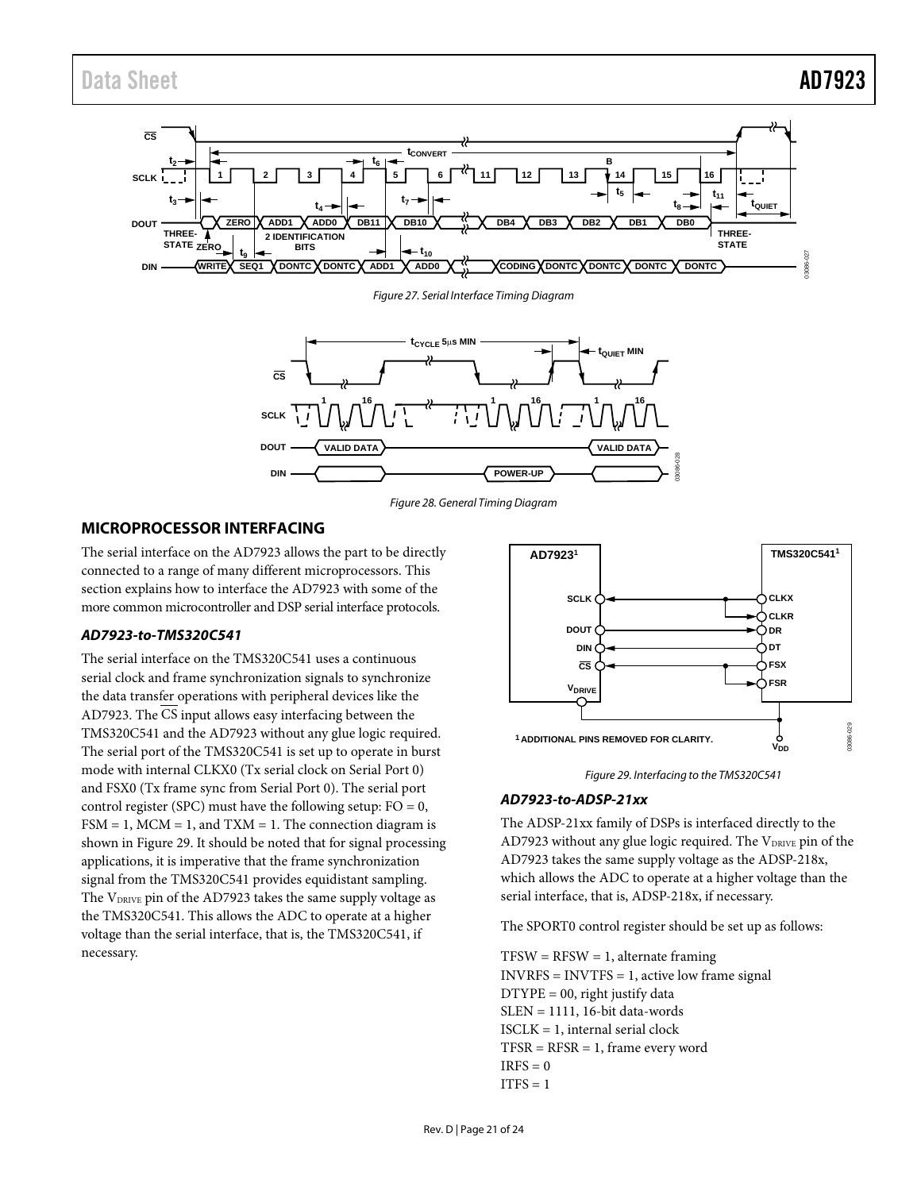

*Figure 27. Serial Interface Timing Diagram*

<span id="page-20-1"></span>

*Figure 28. General Timing Diagram*

#### <span id="page-20-2"></span><span id="page-20-0"></span>**MICROPROCESSOR INTERFACING**

The serial interface on the AD7923 allows the part to be directly connected to a range of many different microprocessors. This section explains how to interface the AD7923 with some of the more common microcontroller and DSP serial interface protocols.

#### *AD7923-to-TMS320C541*

The serial interface on the TMS320C541 uses a continuous serial clock and frame synchronization signals to synchronize the data transfer operations with peripheral devices like the AD7923. The CS input allows easy interfacing between the TMS320C541 and the AD7923 without any glue logic required. The serial port of the TMS320C541 is set up to operate in burst mode with internal CLKX0 (Tx serial clock on Serial Port 0) and FSX0 (Tx frame sync from Serial Port 0). The serial port control register (SPC) must have the following setup:  $FO = 0$ ,  $FSM = 1$ ,  $MCM = 1$ , and  $TXM = 1$ . The connection diagram is shown in [Figure 29.](#page-20-3) It should be noted that for signal processing applications, it is imperative that the frame synchronization signal from the TMS320C541 provides equidistant sampling. The  $V_{DRIVE}$  pin of the AD7923 takes the same supply voltage as the TMS320C541. This allows the ADC to operate at a higher voltage than the serial interface, that is, the TMS320C541, if necessary.



*Figure 29. Interfacing to the TMS320C541*

#### <span id="page-20-3"></span>*AD7923-to-ADSP-21xx*

The ADSP-21xx family of DSPs is interfaced directly to the AD7923 without any glue logic required. The VDRIVE pin of the AD7923 takes the same supply voltage as the ADSP-218x, which allows the ADC to operate at a higher voltage than the serial interface, that is, ADSP-218x, if necessary.

The SPORT0 control register should be set up as follows:

 $TFSW = RFSW = 1$ , alternate framing INVRFS = INVTFS = 1, active low frame signal DTYPE = 00, right justify data  $SLEN = 1111$ , 16-bit data-words ISCLK = 1, internal serial clock  $TFSR = RFSR = 1$ , frame every word  $IRFS = 0$  $ITFS = 1$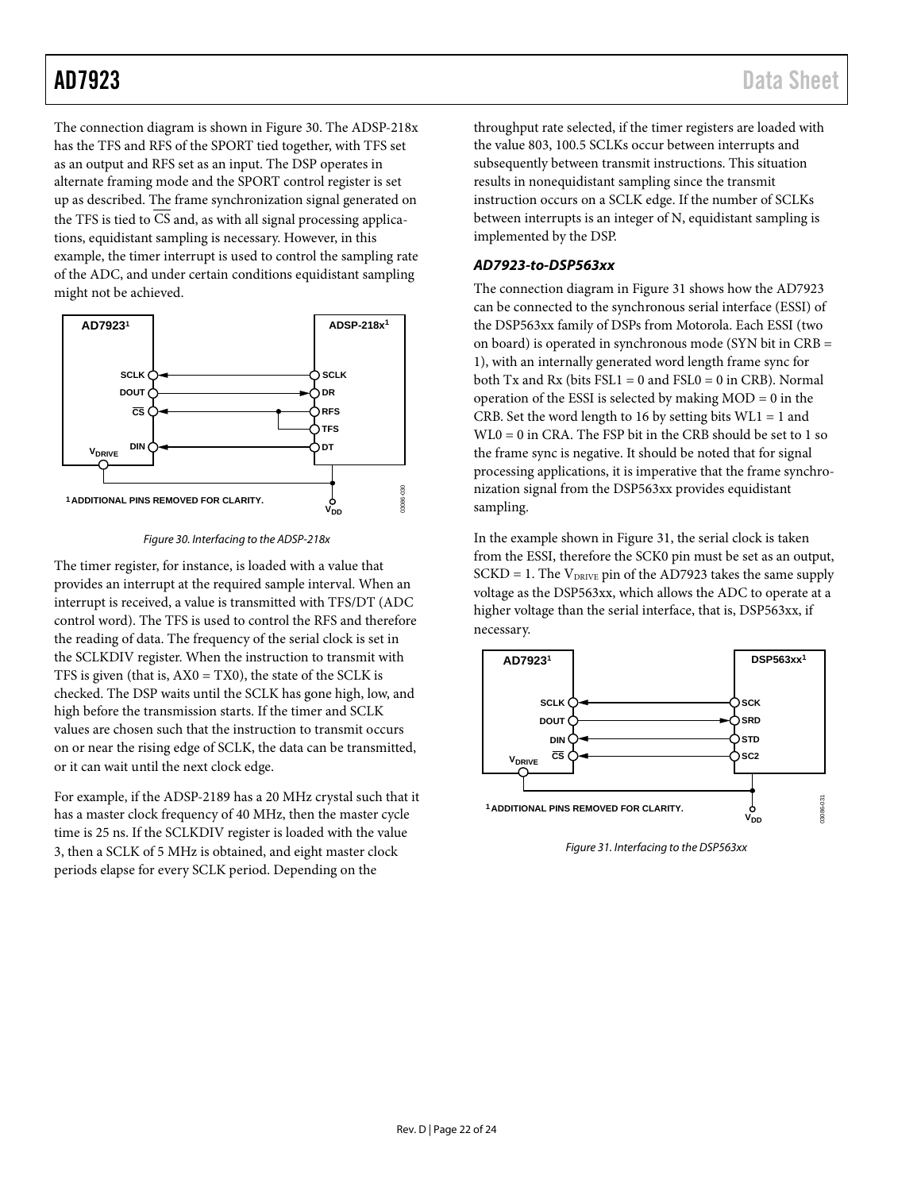The connection diagram is shown in [Figure 30.](#page-21-0) The ADSP-218x has the TFS and RFS of the SPORT tied together, with TFS set as an output and RFS set as an input. The DSP operates in alternate framing mode and the SPORT control register is set up as described. The frame synchronization signal generated on the TFS is tied to CS and, as with all signal processing applications, equidistant sampling is necessary. However, in this example, the timer interrupt is used to control the sampling rate of the ADC, and under certain conditions equidistant sampling might not be achieved.



*Figure 30. Interfacing to the ADSP-218x*

<span id="page-21-0"></span>The timer register, for instance, is loaded with a value that provides an interrupt at the required sample interval. When an interrupt is received, a value is transmitted with TFS/DT (ADC control word). The TFS is used to control the RFS and therefore the reading of data. The frequency of the serial clock is set in the SCLKDIV register. When the instruction to transmit with TFS is given (that is,  $AX0 = TX0$ ), the state of the SCLK is checked. The DSP waits until the SCLK has gone high, low, and high before the transmission starts. If the timer and SCLK values are chosen such that the instruction to transmit occurs on or near the rising edge of SCLK, the data can be transmitted, or it can wait until the next clock edge.

For example, if the ADSP-2189 has a 20 MHz crystal such that it has a master clock frequency of 40 MHz, then the master cycle time is 25 ns. If the SCLKDIV register is loaded with the value 3, then a SCLK of 5 MHz is obtained, and eight master clock periods elapse for every SCLK period. Depending on the

throughput rate selected, if the timer registers are loaded with the value 803, 100.5 SCLKs occur between interrupts and subsequently between transmit instructions. This situation results in nonequidistant sampling since the transmit instruction occurs on a SCLK edge. If the number of SCLKs between interrupts is an integer of N, equidistant sampling is implemented by the DSP.

#### *AD7923-to-DSP563xx*

The connection diagram i[n Figure 31](#page-21-1) shows how the AD7923 can be connected to the synchronous serial interface (ESSI) of the DSP563xx family of DSPs from Motorola. Each ESSI (two on board) is operated in synchronous mode (SYN bit in CRB = 1), with an internally generated word length frame sync for both Tx and Rx (bits  $FSL1 = 0$  and  $FSL0 = 0$  in CRB). Normal operation of the ESSI is selected by making MOD = 0 in the CRB. Set the word length to 16 by setting bits  $WLI = 1$  and WL0 = 0 in CRA. The FSP bit in the CRB should be set to 1 so the frame sync is negative. It should be noted that for signal processing applications, it is imperative that the frame synchronization signal from the DSP563xx provides equidistant sampling.

In the example shown i[n Figure 31,](#page-21-1) the serial clock is taken from the ESSI, therefore the SCK0 pin must be set as an output,  $SCKD = 1$ . The  $V_{DRIVE}$  pin of the AD7923 takes the same supply voltage as the DSP563xx, which allows the ADC to operate at a higher voltage than the serial interface, that is, DSP563xx, if necessary.



<span id="page-21-1"></span>*Figure 31. Interfacing to the DSP563xx*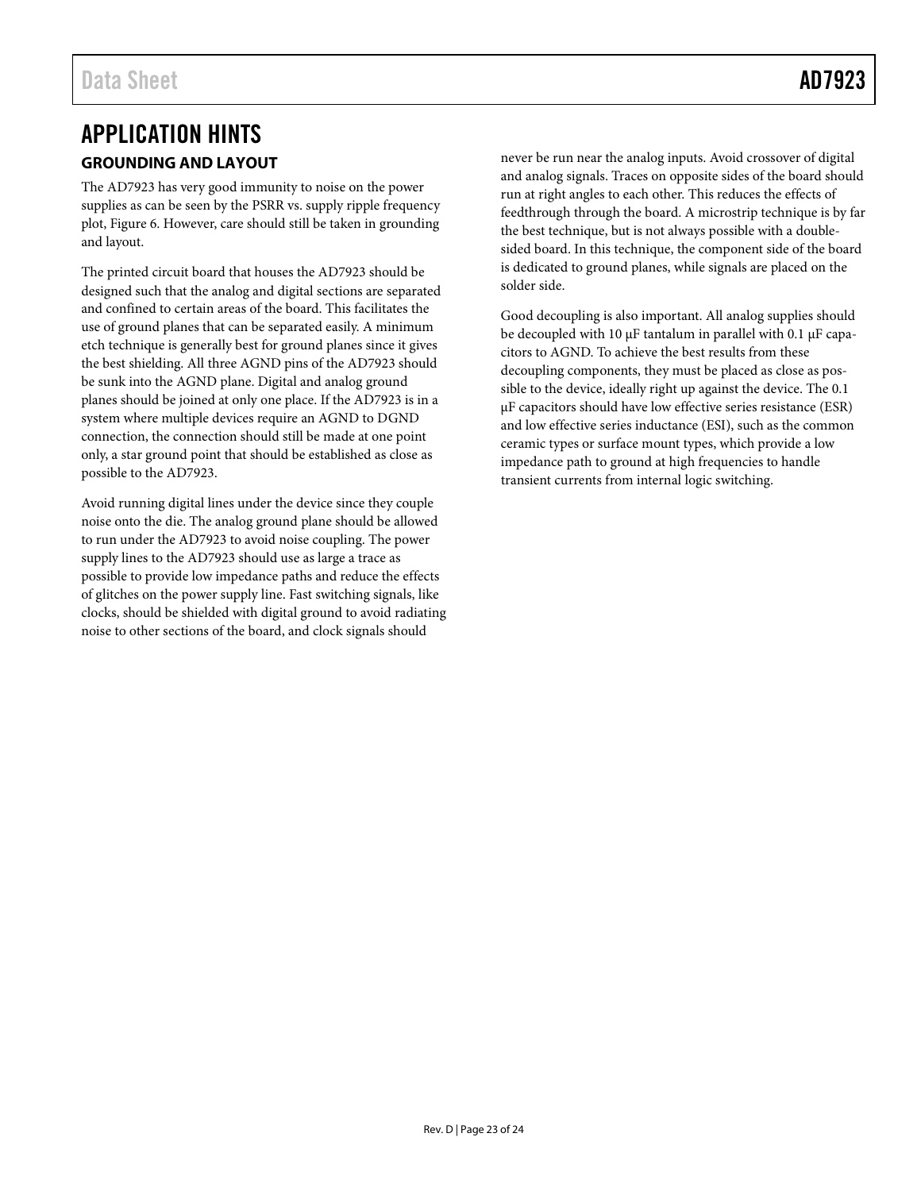### <span id="page-22-1"></span><span id="page-22-0"></span>APPLICATION HINTS **GROUNDING AND LAYOUT**

The AD7923 has very good immunity to noise on the power supplies as can be seen by the PSRR vs. supply ripple frequency plot[, Figure 6.](#page-7-1) However, care should still be taken in grounding and layout.

The printed circuit board that houses the AD7923 should be designed such that the analog and digital sections are separated and confined to certain areas of the board. This facilitates the use of ground planes that can be separated easily. A minimum etch technique is generally best for ground planes since it gives the best shielding. All three AGND pins of the AD7923 should be sunk into the AGND plane. Digital and analog ground planes should be joined at only one place. If the AD7923 is in a system where multiple devices require an AGND to DGND connection, the connection should still be made at one point only, a star ground point that should be established as close as possible to the AD7923.

Avoid running digital lines under the device since they couple noise onto the die. The analog ground plane should be allowed to run under the AD7923 to avoid noise coupling. The power supply lines to the AD7923 should use as large a trace as possible to provide low impedance paths and reduce the effects of glitches on the power supply line. Fast switching signals, like clocks, should be shielded with digital ground to avoid radiating noise to other sections of the board, and clock signals should

never be run near the analog inputs. Avoid crossover of digital and analog signals. Traces on opposite sides of the board should run at right angles to each other. This reduces the effects of feedthrough through the board. A microstrip technique is by far the best technique, but is not always possible with a doublesided board. In this technique, the component side of the board is dedicated to ground planes, while signals are placed on the solder side.

Good decoupling is also important. All analog supplies should be decoupled with 10  $\mu$ F tantalum in parallel with 0.1  $\mu$ F capacitors to AGND. To achieve the best results from these decoupling components, they must be placed as close as possible to the device, ideally right up against the device. The 0.1 µF capacitors should have low effective series resistance (ESR) and low effective series inductance (ESI), such as the common ceramic types or surface mount types, which provide a low impedance path to ground at high frequencies to handle transient currents from internal logic switching.